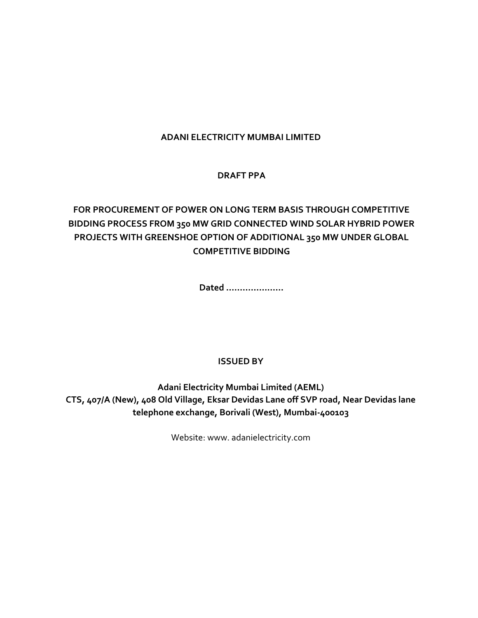## **ADANI ELECTRICITY MUMBAI LIMITED**

## **DRAFT PPA**

# **FOR PROCUREMENT OF POWER ON LONG TERM BASIS THROUGH COMPETITIVE BIDDING PROCESS FROM 350 MW GRID CONNECTED WIND SOLAR HYBRID POWER PROJECTS WITH GREENSHOE OPTION OF ADDITIONAL 350 MW UNDER GLOBAL COMPETITIVE BIDDING**

**Dated …………………**

## **ISSUED BY**

**Adani Electricity Mumbai Limited (AEML) CTS, 407/A (New), 408 Old Village, Eksar Devidas Lane off SVP road, Near Devidas lane telephone exchange, Borivali (West), Mumbai-400103**

Website: www. adanielectricity.com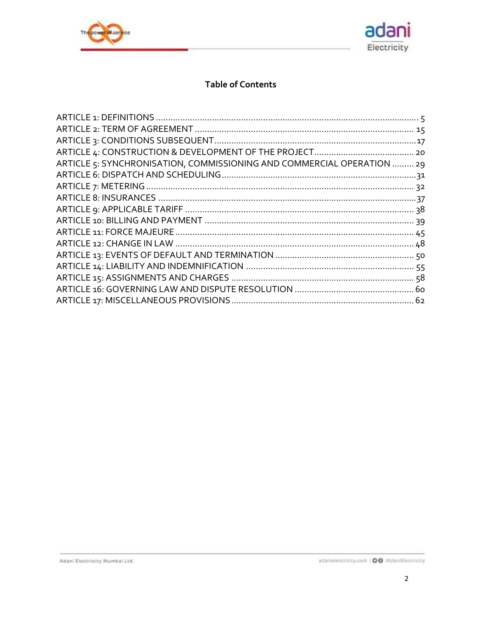



## **Table of Contents**

| ARTICLE 5: SYNCHRONISATION, COMMISSIONING AND COMMERCIAL OPERATION  29 |  |
|------------------------------------------------------------------------|--|
|                                                                        |  |
|                                                                        |  |
|                                                                        |  |
|                                                                        |  |
|                                                                        |  |
|                                                                        |  |
|                                                                        |  |
|                                                                        |  |
|                                                                        |  |
|                                                                        |  |
|                                                                        |  |
|                                                                        |  |
|                                                                        |  |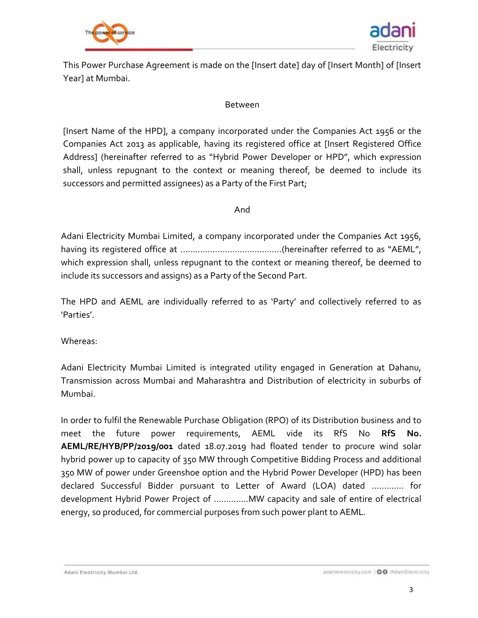



This Power Purchase Agreement is made on the [Insert date] day of [Insert Month] of [Insert Year] at Mumbai.

#### Between

[Insert Name of the HPD], a company incorporated under the Companies Act 1956 or the Companies Act 2013 as applicable, having its registered office at [Insert Registered Office Address] (hereinafter referred to as "Hybrid Power Developer or HPD", which expression shall, unless repugnant to the context or meaning thereof, be deemed to include its successors and permitted assignees) as a Party of the First Part;

#### And

Adani Electricity Mumbai Limited, a company incorporated under the Companies Act 1956, having its registered office at …………………………………..(hereinafter referred to as "AEML", which expression shall, unless repugnant to the context or meaning thereof, be deemed to include its successors and assigns) as a Party of the Second Part.

The HPD and AEML are individually referred to as 'Party' and collectively referred to as 'Parties'.

Whereas:

Adani Electricity Mumbai Limited is integrated utility engaged in Generation at Dahanu, Transmission across Mumbai and Maharashtra and Distribution of electricity in suburbs of Mumbai.

In order to fulfil the Renewable Purchase Obligation (RPO) of its Distribution business and to meet the future power requirements, AEML vide its RfS No **RfS No. AEML/RE/HYB/PP/2019/001** dated 18.07.2019 had floated tender to procure wind solar hybrid power up to capacity of 350 MW through Competitive Bidding Process and additional 350 MW of power under Greenshoe option and the Hybrid Power Developer (HPD) has been declared Successful Bidder pursuant to Letter of Award (LOA) dated ……….… for development Hybrid Power Project of …………..MW capacity and sale of entire of electrical energy, so produced, for commercial purposes from such power plant to AEML.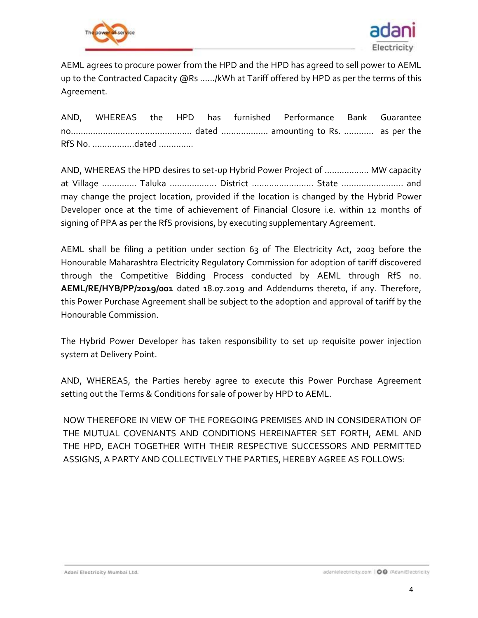



AEML agrees to procure power from the HPD and the HPD has agreed to sell power to AEML up to the Contracted Capacity @Rs ....../kWh at Tariff offered by HPD as per the terms of this Agreement.

AND, WHEREAS the HPD has furnished Performance Bank Guarantee no.………………………………………… dated ………………. amounting to Rs. ………… as per the RfS No. ……………..dated …………..

AND, WHEREAS the HPD desires to set-up Hybrid Power Project of ……………… MW capacity at Village ………….. Taluka ………………. District ……………………. State ……………………. and may change the project location, provided if the location is changed by the Hybrid Power Developer once at the time of achievement of Financial Closure i.e. within 12 months of signing of PPA as per the RfS provisions, by executing supplementary Agreement.

AEML shall be filing a petition under section 63 of The Electricity Act, 2003 before the Honourable Maharashtra Electricity Regulatory Commission for adoption of tariff discovered through the Competitive Bidding Process conducted by AEML through RfS no. **AEML/RE/HYB/PP/2019/001** dated 18.07.2019 and Addendums thereto, if any. Therefore, this Power Purchase Agreement shall be subject to the adoption and approval of tariff by the Honourable Commission.

The Hybrid Power Developer has taken responsibility to set up requisite power injection system at Delivery Point.

AND, WHEREAS, the Parties hereby agree to execute this Power Purchase Agreement setting out the Terms & Conditions for sale of power by HPD to AEML.

NOW THEREFORE IN VIEW OF THE FOREGOING PREMISES AND IN CONSIDERATION OF THE MUTUAL COVENANTS AND CONDITIONS HEREINAFTER SET FORTH, AEML AND THE HPD, EACH TOGETHER WITH THEIR RESPECTIVE SUCCESSORS AND PERMITTED ASSIGNS, A PARTY AND COLLECTIVELY THE PARTIES, HEREBY AGREE AS FOLLOWS: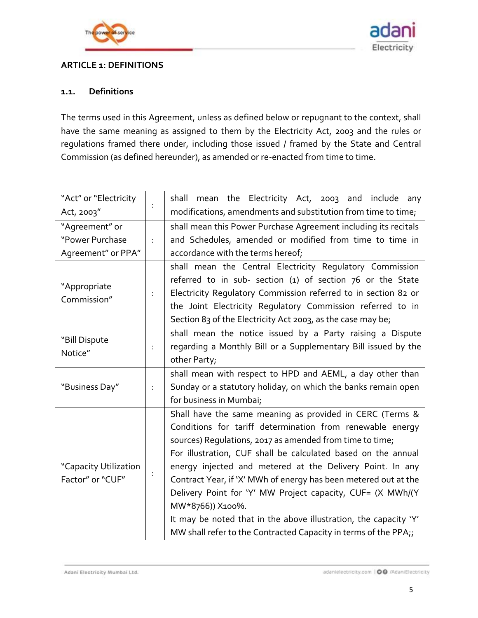



## <span id="page-4-0"></span>**ARTICLE 1: DEFINITIONS**

### **1.1. Definitions**

The terms used in this Agreement, unless as defined below or repugnant to the context, shall have the same meaning as assigned to them by the Electricity Act, 2003 and the rules or regulations framed there under, including those issued / framed by the State and Central Commission (as defined hereunder), as amended or re-enacted from time to time.

| "Act" or "Electricity                     |   | mean the Electricity Act, 2003 and include any<br>shall          |
|-------------------------------------------|---|------------------------------------------------------------------|
| Act, 2003"                                |   | modifications, amendments and substitution from time to time;    |
| "Agreement" or                            |   | shall mean this Power Purchase Agreement including its recitals  |
| "Power Purchase                           | ÷ | and Schedules, amended or modified from time to time in          |
| Agreement" or PPA"                        |   | accordance with the terms hereof;                                |
|                                           |   | shall mean the Central Electricity Regulatory Commission         |
| "Appropriate                              |   | referred to in sub- section (1) of section 76 or the State       |
| Commission"                               | ÷ | Electricity Regulatory Commission referred to in section 82 or   |
|                                           |   | the Joint Electricity Regulatory Commission referred to in       |
|                                           |   | Section 83 of the Electricity Act 2003, as the case may be;      |
| "Bill Dispute                             |   | shall mean the notice issued by a Party raising a Dispute        |
| Notice"                                   | ÷ | regarding a Monthly Bill or a Supplementary Bill issued by the   |
|                                           |   | other Party;                                                     |
|                                           |   | shall mean with respect to HPD and AEML, a day other than        |
| "Business Day"                            | ÷ | Sunday or a statutory holiday, on which the banks remain open    |
|                                           |   | for business in Mumbai;                                          |
|                                           |   | Shall have the same meaning as provided in CERC (Terms &         |
| "Capacity Utilization<br>Factor" or "CUF" |   | Conditions for tariff determination from renewable energy        |
|                                           |   | sources) Requlations, 2017 as amended from time to time;         |
|                                           |   | For illustration, CUF shall be calculated based on the annual    |
|                                           |   | energy injected and metered at the Delivery Point. In any        |
|                                           |   | Contract Year, if 'X' MWh of energy has been metered out at the  |
|                                           |   | Delivery Point for 'Y' MW Project capacity, CUF= (X MWh/(Y       |
|                                           |   | MW*8766)) X100%.                                                 |
|                                           |   | It may be noted that in the above illustration, the capacity 'Y' |
|                                           |   | MW shall refer to the Contracted Capacity in terms of the PPA;   |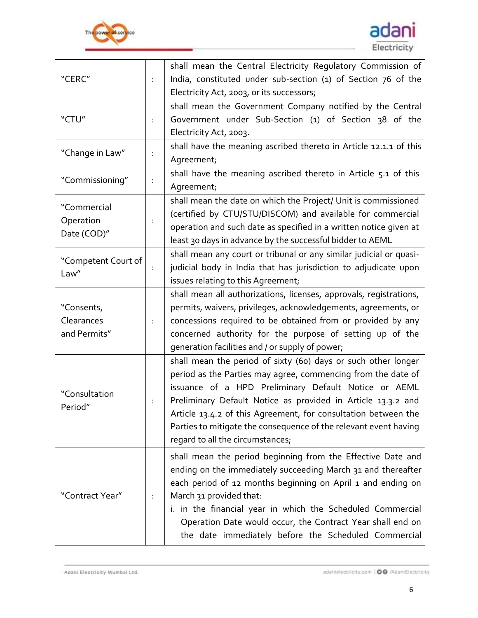



| "CERC"                                   | $\ddot{\phantom{a}}$ | shall mean the Central Electricity Requlatory Commission of<br>India, constituted under sub-section (1) of Section 76 of the<br>Electricity Act, 2003, or its successors;                                                                                                                                                                                                                                                       |  |  |  |
|------------------------------------------|----------------------|---------------------------------------------------------------------------------------------------------------------------------------------------------------------------------------------------------------------------------------------------------------------------------------------------------------------------------------------------------------------------------------------------------------------------------|--|--|--|
| "CTU"                                    | ÷                    | shall mean the Government Company notified by the Central<br>Government under Sub-Section (1) of Section 38 of the<br>Electricity Act, 2003.                                                                                                                                                                                                                                                                                    |  |  |  |
| "Change in Law"                          | ÷                    | shall have the meaning ascribed thereto in Article 12.1.1 of this<br>Agreement;                                                                                                                                                                                                                                                                                                                                                 |  |  |  |
| "Commissioning"                          |                      | shall have the meaning ascribed thereto in Article 5.1 of this<br>Agreement;                                                                                                                                                                                                                                                                                                                                                    |  |  |  |
| "Commercial<br>Operation<br>Date (COD)"  |                      | shall mean the date on which the Project/ Unit is commissioned<br>(certified by CTU/STU/DISCOM) and available for commercial<br>operation and such date as specified in a written notice given at<br>least 30 days in advance by the successful bidder to AEML                                                                                                                                                                  |  |  |  |
| "Competent Court of<br>Law"              |                      | shall mean any court or tribunal or any similar judicial or quasi-<br>judicial body in India that has jurisdiction to adjudicate upon<br>issues relating to this Agreement;                                                                                                                                                                                                                                                     |  |  |  |
| "Consents,<br>Clearances<br>and Permits" | ÷                    | shall mean all authorizations, licenses, approvals, registrations,<br>permits, waivers, privileges, acknowledgements, agreements, or<br>concessions required to be obtained from or provided by any<br>concerned authority for the purpose of setting up of the<br>generation facilities and / or supply of power;                                                                                                              |  |  |  |
| "Consultation<br>Period"                 |                      | shall mean the period of sixty (60) days or such other longer<br>period as the Parties may agree, commencing from the date of<br>issuance of a HPD Preliminary Default Notice or AEML<br>Preliminary Default Notice as provided in Article 13.3.2 and<br>Article 13.4.2 of this Agreement, for consultation between the<br>Parties to mitigate the consequence of the relevant event having<br>regard to all the circumstances; |  |  |  |
| "Contract Year"                          |                      | shall mean the period beginning from the Effective Date and<br>ending on the immediately succeeding March 31 and thereafter<br>each period of 12 months beginning on April 1 and ending on<br>March 31 provided that:<br>i. in the financial year in which the Scheduled Commercial<br>Operation Date would occur, the Contract Year shall end on<br>the date immediately before the Scheduled Commercial                       |  |  |  |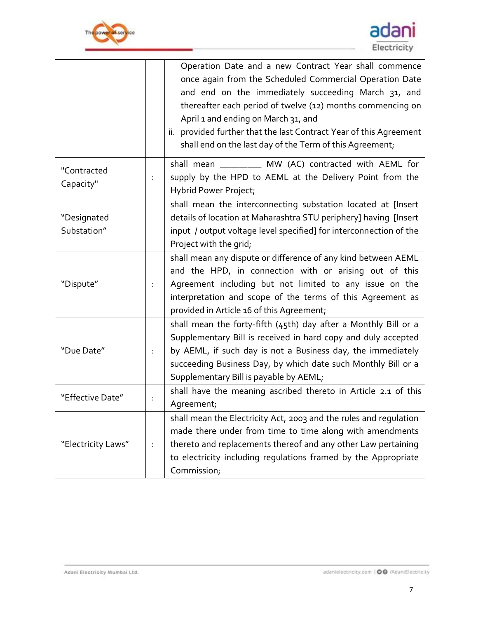



|                            |   | Operation Date and a new Contract Year shall commence<br>once again from the Scheduled Commercial Operation Date<br>and end on the immediately succeeding March 31, and<br>thereafter each period of twelve (12) months commencing on<br>April 1 and ending on March 31, and<br>ii. provided further that the last Contract Year of this Agreement |  |
|----------------------------|---|----------------------------------------------------------------------------------------------------------------------------------------------------------------------------------------------------------------------------------------------------------------------------------------------------------------------------------------------------|--|
|                            |   | shall end on the last day of the Term of this Agreement;<br>shall mean __________ MW (AC) contracted with AEML for                                                                                                                                                                                                                                 |  |
| "Contracted<br>Capacity"   | ÷ | supply by the HPD to AEML at the Delivery Point from the<br>Hybrid Power Project;                                                                                                                                                                                                                                                                  |  |
| "Designated<br>Substation" |   | shall mean the interconnecting substation located at [Insert<br>details of location at Maharashtra STU periphery] having [Insert<br>input / output voltage level specified] for interconnection of the<br>Project with the grid;                                                                                                                   |  |
| "Dispute"                  | ÷ | shall mean any dispute or difference of any kind between AEML<br>and the HPD, in connection with or arising out of this<br>Agreement including but not limited to any issue on the<br>interpretation and scope of the terms of this Agreement as<br>provided in Article 16 of this Agreement;                                                      |  |
| "Due Date"                 | ÷ | shall mean the forty-fifth (45th) day after a Monthly Bill or a<br>Supplementary Bill is received in hard copy and duly accepted<br>by AEML, if such day is not a Business day, the immediately<br>succeeding Business Day, by which date such Monthly Bill or a<br>Supplementary Bill is payable by AEML;                                         |  |
| "Effective Date"           | ÷ | shall have the meaning ascribed thereto in Article 2.1 of this<br>Agreement;                                                                                                                                                                                                                                                                       |  |
| "Electricity Laws"         | ÷ | shall mean the Electricity Act, 2003 and the rules and regulation<br>made there under from time to time along with amendments<br>thereto and replacements thereof and any other Law pertaining<br>to electricity including regulations framed by the Appropriate<br>Commission;                                                                    |  |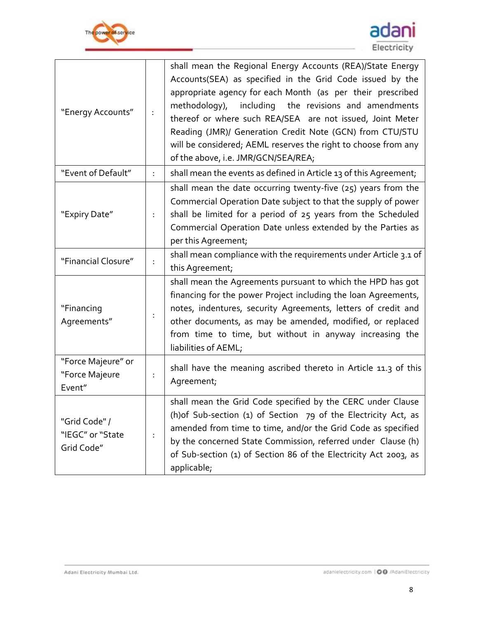



| "Energy Accounts"                               |   | shall mean the Regional Energy Accounts (REA)/State Energy<br>Accounts(SEA) as specified in the Grid Code issued by the<br>appropriate agency for each Month (as per their prescribed<br>methodology),<br>including<br>the revisions and amendments<br>thereof or where such REA/SEA are not issued, Joint Meter<br>Reading (JMR)/ Generation Credit Note (GCN) from CTU/STU<br>will be considered; AEML reserves the right to choose from any<br>of the above, i.e. JMR/GCN/SEA/REA; |  |
|-------------------------------------------------|---|---------------------------------------------------------------------------------------------------------------------------------------------------------------------------------------------------------------------------------------------------------------------------------------------------------------------------------------------------------------------------------------------------------------------------------------------------------------------------------------|--|
| "Event of Default"                              | ÷ | shall mean the events as defined in Article 13 of this Agreement,                                                                                                                                                                                                                                                                                                                                                                                                                     |  |
| "Expiry Date"                                   | ÷ | shall mean the date occurring twenty-five (25) years from the<br>Commercial Operation Date subject to that the supply of power<br>shall be limited for a period of 25 years from the Scheduled<br>Commercial Operation Date unless extended by the Parties as<br>per this Agreement;                                                                                                                                                                                                  |  |
| "Financial Closure"                             |   | shall mean compliance with the requirements under Article 3.1 of<br>this Agreement;                                                                                                                                                                                                                                                                                                                                                                                                   |  |
| "Financing<br>Agreements"                       | ÷ | shall mean the Agreements pursuant to which the HPD has got<br>financing for the power Project including the loan Agreements,<br>notes, indentures, security Agreements, letters of credit and<br>other documents, as may be amended, modified, or replaced<br>from time to time, but without in anyway increasing the<br>liabilities of AEML;                                                                                                                                        |  |
| "Force Majeure" or<br>"Force Majeure<br>Event"  |   | shall have the meaning ascribed thereto in Article 11.3 of this<br>Agreement;                                                                                                                                                                                                                                                                                                                                                                                                         |  |
| "Grid Code" /<br>"IEGC" or "State<br>Grid Code" |   | shall mean the Grid Code specified by the CERC under Clause<br>(h) of Sub-section $(1)$ of Section $79$ of the Electricity Act, as<br>amended from time to time, and/or the Grid Code as specified<br>by the concerned State Commission, referred under Clause (h)<br>of Sub-section (1) of Section 86 of the Electricity Act 2003, as<br>applicable;                                                                                                                                 |  |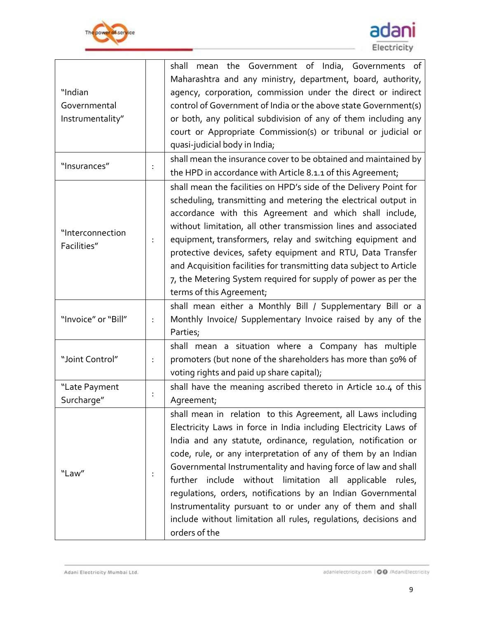



| "Indian<br>Governmental<br>Instrumentality" |   | mean the Government of India, Governments of<br>shall<br>Maharashtra and any ministry, department, board, authority,<br>agency, corporation, commission under the direct or indirect<br>control of Government of India or the above state Government(s)<br>or both, any political subdivision of any of them including any<br>court or Appropriate Commission(s) or tribunal or judicial or<br>quasi-judicial body in India;                                                                                                                                                                                           |
|---------------------------------------------|---|------------------------------------------------------------------------------------------------------------------------------------------------------------------------------------------------------------------------------------------------------------------------------------------------------------------------------------------------------------------------------------------------------------------------------------------------------------------------------------------------------------------------------------------------------------------------------------------------------------------------|
| "Insurances"                                |   | shall mean the insurance cover to be obtained and maintained by<br>the HPD in accordance with Article 8.1.1 of this Agreement;                                                                                                                                                                                                                                                                                                                                                                                                                                                                                         |
| "Interconnection<br>Facilities"             | ÷ | shall mean the facilities on HPD's side of the Delivery Point for<br>scheduling, transmitting and metering the electrical output in<br>accordance with this Agreement and which shall include,<br>without limitation, all other transmission lines and associated<br>equipment, transformers, relay and switching equipment and<br>protective devices, safety equipment and RTU, Data Transfer<br>and Acquisition facilities for transmitting data subject to Article<br>7, the Metering System required for supply of power as per the<br>terms of this Agreement;                                                    |
| "Invoice" or "Bill"                         | ÷ | shall mean either a Monthly Bill / Supplementary Bill or a<br>Monthly Invoice/ Supplementary Invoice raised by any of the<br>Parties;                                                                                                                                                                                                                                                                                                                                                                                                                                                                                  |
| "Joint Control"                             | ÷ | shall mean a situation where a Company has multiple<br>promoters (but none of the shareholders has more than 50% of<br>voting rights and paid up share capital);                                                                                                                                                                                                                                                                                                                                                                                                                                                       |
| "Late Payment<br>Surcharge"                 | ÷ | shall have the meaning ascribed thereto in Article 10.4 of this<br>Agreement;                                                                                                                                                                                                                                                                                                                                                                                                                                                                                                                                          |
| "Law"                                       | ÷ | shall mean in relation to this Agreement, all Laws including<br>Electricity Laws in force in India including Electricity Laws of<br>India and any statute, ordinance, regulation, notification or<br>code, rule, or any interpretation of any of them by an Indian<br>Governmental Instrumentality and having force of law and shall<br>further include without limitation all applicable<br>rules,<br>regulations, orders, notifications by an Indian Governmental<br>Instrumentality pursuant to or under any of them and shall<br>include without limitation all rules, regulations, decisions and<br>orders of the |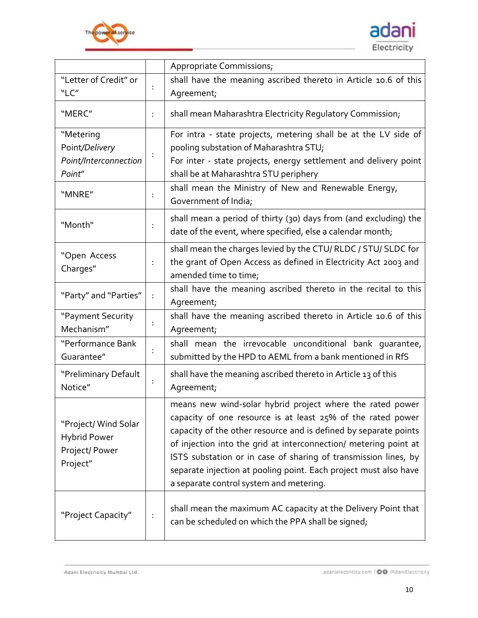



|                                                                          |   | Appropriate Commissions;                                                                                                                                                                                                                                                                                                                                                                                                                             |  |
|--------------------------------------------------------------------------|---|------------------------------------------------------------------------------------------------------------------------------------------------------------------------------------------------------------------------------------------------------------------------------------------------------------------------------------------------------------------------------------------------------------------------------------------------------|--|
| "Letter of Credit" or<br>"LC"                                            |   | shall have the meaning ascribed thereto in Article 10.6 of this<br>Agreement;                                                                                                                                                                                                                                                                                                                                                                        |  |
| "MERC"                                                                   | ÷ | shall mean Maharashtra Electricity Regulatory Commission;                                                                                                                                                                                                                                                                                                                                                                                            |  |
| "Metering<br>Point/Delivery<br>Point/Interconnection<br>Point"           |   | For intra - state projects, metering shall be at the LV side of<br>pooling substation of Maharashtra STU;<br>For inter - state projects, energy settlement and delivery point<br>shall be at Maharashtra STU periphery                                                                                                                                                                                                                               |  |
| "MNRE"                                                                   | ÷ | shall mean the Ministry of New and Renewable Energy,<br>Government of India;                                                                                                                                                                                                                                                                                                                                                                         |  |
| "Month"                                                                  | ÷ | shall mean a period of thirty (30) days from (and excluding) the<br>date of the event, where specified, else a calendar month;                                                                                                                                                                                                                                                                                                                       |  |
| "Open Access<br>Charges"                                                 | ÷ | shall mean the charges levied by the CTU/ RLDC / STU/ SLDC for<br>the grant of Open Access as defined in Electricity Act 2003 and<br>amended time to time;                                                                                                                                                                                                                                                                                           |  |
| "Party" and "Parties"                                                    | ÷ | shall have the meaning ascribed thereto in the recital to this<br>Agreement;                                                                                                                                                                                                                                                                                                                                                                         |  |
| "Payment Security<br>Mechanism"                                          |   | shall have the meaning ascribed thereto in Article 10.6 of this<br>Agreement;                                                                                                                                                                                                                                                                                                                                                                        |  |
| "Performance Bank<br>Guarantee"                                          |   | shall mean the irrevocable unconditional bank quarantee,<br>submitted by the HPD to AEML from a bank mentioned in RfS                                                                                                                                                                                                                                                                                                                                |  |
| "Preliminary Default<br>Notice"                                          | ÷ | shall have the meaning ascribed thereto in Article 13 of this<br>Agreement;                                                                                                                                                                                                                                                                                                                                                                          |  |
| "Project/ Wind Solar<br><b>Hybrid Power</b><br>Project/Power<br>Project" |   | means new wind-solar hybrid project where the rated power<br>capacity of one resource is at least $25%$ of the rated power<br>capacity of the other resource and is defined by separate points<br>of injection into the grid at interconnection/ metering point at<br>ISTS substation or in case of sharing of transmission lines, by<br>separate injection at pooling point. Each project must also have<br>a separate control system and metering. |  |
| "Project Capacity"                                                       |   | shall mean the maximum AC capacity at the Delivery Point that<br>can be scheduled on which the PPA shall be signed;                                                                                                                                                                                                                                                                                                                                  |  |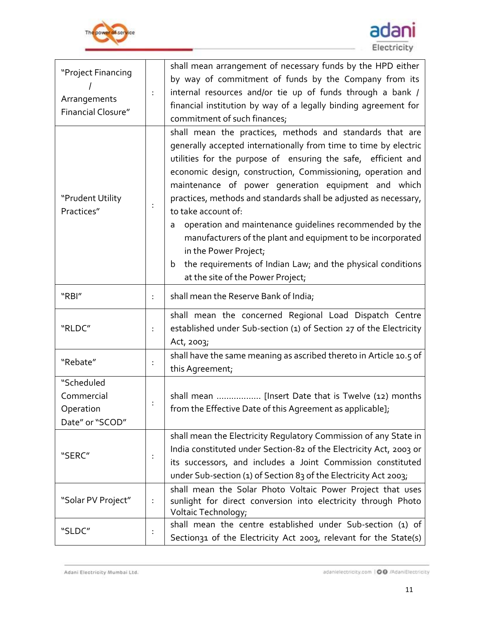



| "Project Financing                                       |   | shall mean arrangement of necessary funds by the HPD either                                                                                                                                                                                                                                                                                                                                                                                                                                                                                                                                                                                                                               |  |  |  |  |
|----------------------------------------------------------|---|-------------------------------------------------------------------------------------------------------------------------------------------------------------------------------------------------------------------------------------------------------------------------------------------------------------------------------------------------------------------------------------------------------------------------------------------------------------------------------------------------------------------------------------------------------------------------------------------------------------------------------------------------------------------------------------------|--|--|--|--|
| Arrangements<br><b>Financial Closure"</b>                | ÷ | by way of commitment of funds by the Company from its<br>internal resources and/or tie up of funds through a bank /<br>financial institution by way of a legally binding agreement for<br>commitment of such finances;                                                                                                                                                                                                                                                                                                                                                                                                                                                                    |  |  |  |  |
| "Prudent Utility<br>Practices"                           |   | shall mean the practices, methods and standards that are<br>generally accepted internationally from time to time by electric<br>utilities for the purpose of ensuring the safe, efficient and<br>economic design, construction, Commissioning, operation and<br>maintenance of power generation equipment and which<br>practices, methods and standards shall be adjusted as necessary,<br>to take account of:<br>operation and maintenance quidelines recommended by the<br>a<br>manufacturers of the plant and equipment to be incorporated<br>in the Power Project;<br>the requirements of Indian Law; and the physical conditions<br>$\mathbf b$<br>at the site of the Power Project; |  |  |  |  |
| "RBI"                                                    | ÷ | shall mean the Reserve Bank of India;                                                                                                                                                                                                                                                                                                                                                                                                                                                                                                                                                                                                                                                     |  |  |  |  |
| "RLDC"                                                   | ÷ | shall mean the concerned Regional Load Dispatch Centre<br>established under Sub-section (1) of Section 27 of the Electricity<br>Act, 2003;                                                                                                                                                                                                                                                                                                                                                                                                                                                                                                                                                |  |  |  |  |
| "Rebate"                                                 | ÷ | shall have the same meaning as ascribed thereto in Article 10.5 of<br>this Agreement;                                                                                                                                                                                                                                                                                                                                                                                                                                                                                                                                                                                                     |  |  |  |  |
| "Scheduled<br>Commercial<br>Operation<br>Date" or "SCOD" |   | shall mean  [Insert Date that is Twelve (12) months<br>from the Effective Date of this Agreement as applicable];                                                                                                                                                                                                                                                                                                                                                                                                                                                                                                                                                                          |  |  |  |  |
| "SERC"                                                   | ÷ | shall mean the Electricity Regulatory Commission of any State in<br>India constituted under Section-82 of the Electricity Act, 2003 or<br>its successors, and includes a Joint Commission constituted<br>under Sub-section (1) of Section 83 of the Electricity Act 2003;                                                                                                                                                                                                                                                                                                                                                                                                                 |  |  |  |  |
| "Solar PV Project"                                       | ÷ | shall mean the Solar Photo Voltaic Power Project that uses<br>sunlight for direct conversion into electricity through Photo<br>Voltaic Technology;                                                                                                                                                                                                                                                                                                                                                                                                                                                                                                                                        |  |  |  |  |
| "SLDC"                                                   |   | shall mean the centre established under Sub-section (1) of<br>Section31 of the Electricity Act 2003, relevant for the State(s)                                                                                                                                                                                                                                                                                                                                                                                                                                                                                                                                                            |  |  |  |  |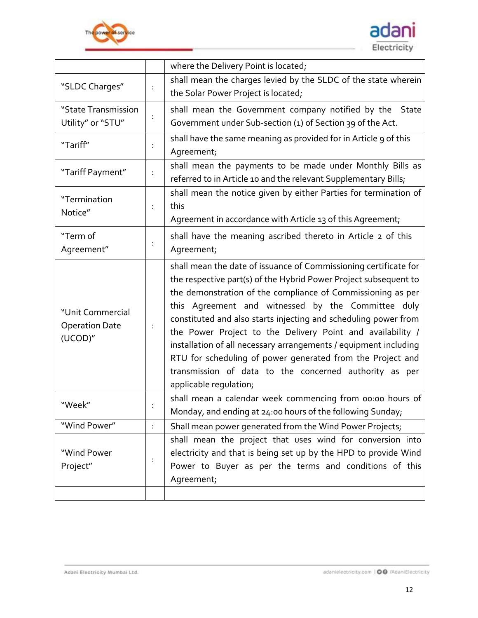



|                                                      |   | where the Delivery Point is located;                                                                                                                                                                                                                                                                                                                                                                                                                                                                                                                                                                             |
|------------------------------------------------------|---|------------------------------------------------------------------------------------------------------------------------------------------------------------------------------------------------------------------------------------------------------------------------------------------------------------------------------------------------------------------------------------------------------------------------------------------------------------------------------------------------------------------------------------------------------------------------------------------------------------------|
| "SLDC Charges"                                       |   | shall mean the charges levied by the SLDC of the state wherein                                                                                                                                                                                                                                                                                                                                                                                                                                                                                                                                                   |
|                                                      |   | the Solar Power Project is located;                                                                                                                                                                                                                                                                                                                                                                                                                                                                                                                                                                              |
| "State Transmission                                  |   | shall mean the Government company notified by the State                                                                                                                                                                                                                                                                                                                                                                                                                                                                                                                                                          |
| Utility" or "STU"                                    |   | Government under Sub-section (1) of Section 39 of the Act.                                                                                                                                                                                                                                                                                                                                                                                                                                                                                                                                                       |
| "Tariff"                                             |   | shall have the same meaning as provided for in Article 9 of this                                                                                                                                                                                                                                                                                                                                                                                                                                                                                                                                                 |
|                                                      |   | Agreement;                                                                                                                                                                                                                                                                                                                                                                                                                                                                                                                                                                                                       |
| "Tariff Payment"                                     |   | shall mean the payments to be made under Monthly Bills as                                                                                                                                                                                                                                                                                                                                                                                                                                                                                                                                                        |
|                                                      | ÷ | referred to in Article 10 and the relevant Supplementary Bills;                                                                                                                                                                                                                                                                                                                                                                                                                                                                                                                                                  |
| "Termination                                         |   | shall mean the notice given by either Parties for termination of                                                                                                                                                                                                                                                                                                                                                                                                                                                                                                                                                 |
| Notice"                                              | ÷ | this                                                                                                                                                                                                                                                                                                                                                                                                                                                                                                                                                                                                             |
|                                                      |   | Agreement in accordance with Article 13 of this Agreement;                                                                                                                                                                                                                                                                                                                                                                                                                                                                                                                                                       |
| "Term of                                             |   | shall have the meaning ascribed thereto in Article 2 of this                                                                                                                                                                                                                                                                                                                                                                                                                                                                                                                                                     |
| Agreement"                                           | ÷ | Agreement;                                                                                                                                                                                                                                                                                                                                                                                                                                                                                                                                                                                                       |
| "Unit Commercial<br><b>Operation Date</b><br>(UCOD)" | ÷ | shall mean the date of issuance of Commissioning certificate for<br>the respective part(s) of the Hybrid Power Project subsequent to<br>the demonstration of the compliance of Commissioning as per<br>this Agreement and witnessed by the Committee duly<br>constituted and also starts injecting and scheduling power from<br>the Power Project to the Delivery Point and availability /<br>installation of all necessary arrangements / equipment including<br>RTU for scheduling of power generated from the Project and<br>transmission of data to the concerned authority as per<br>applicable regulation; |
| "Week"                                               |   | shall mean a calendar week commencing from 00:00 hours of<br>Monday, and ending at 24:00 hours of the following Sunday;                                                                                                                                                                                                                                                                                                                                                                                                                                                                                          |
| "Wind Power"                                         | ÷ | Shall mean power generated from the Wind Power Projects;                                                                                                                                                                                                                                                                                                                                                                                                                                                                                                                                                         |
|                                                      |   | shall mean the project that uses wind for conversion into                                                                                                                                                                                                                                                                                                                                                                                                                                                                                                                                                        |
| "Wind Power                                          | ÷ | electricity and that is being set up by the HPD to provide Wind                                                                                                                                                                                                                                                                                                                                                                                                                                                                                                                                                  |
| Project"                                             |   | Power to Buyer as per the terms and conditions of this                                                                                                                                                                                                                                                                                                                                                                                                                                                                                                                                                           |
|                                                      |   | Agreement;                                                                                                                                                                                                                                                                                                                                                                                                                                                                                                                                                                                                       |
|                                                      |   |                                                                                                                                                                                                                                                                                                                                                                                                                                                                                                                                                                                                                  |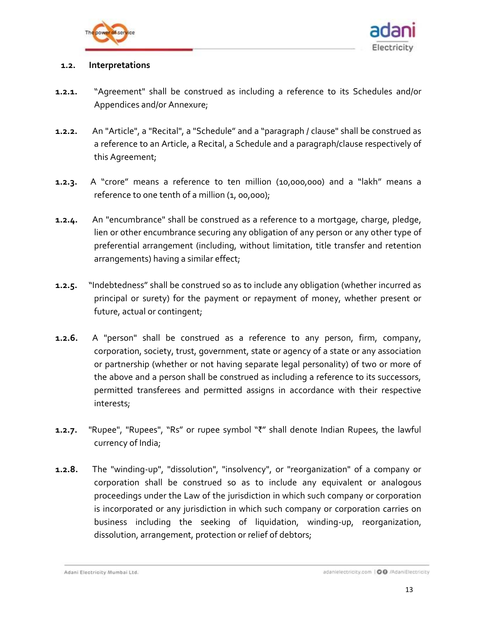



#### **1.2. Interpretations**

- **1.2.1.** "Agreement" shall be construed as including a reference to its Schedules and/or Appendices and/or Annexure;
- **1.2.2.** An "Article", a "Recital", a "Schedule" and a "paragraph / clause" shall be construed as a reference to an Article, a Recital, a Schedule and a paragraph/clause respectively of this Agreement;
- **1.2.3.** A "crore" means a reference to ten million (10,000,000) and a "lakh" means a reference to one tenth of a million (1, 00,000);
- **1.2.4.** An "encumbrance" shall be construed as a reference to a mortgage, charge, pledge, lien or other encumbrance securing any obligation of any person or any other type of preferential arrangement (including, without limitation, title transfer and retention arrangements) having a similar effect;
- **1.2.5.** "Indebtedness" shall be construed so as to include any obligation (whether incurred as principal or surety) for the payment or repayment of money, whether present or future, actual or contingent;
- **1.2.6.** A "person" shall be construed as a reference to any person, firm, company, corporation, society, trust, government, state or agency of a state or any association or partnership (whether or not having separate legal personality) of two or more of the above and a person shall be construed as including a reference to its successors, permitted transferees and permitted assigns in accordance with their respective interests;
- **1.2.7.** "Rupee", "Rupees", "Rs" or rupee symbol "₹" shall denote Indian Rupees, the lawful currency of India;
- **1.2.8.** The "winding-up", "dissolution", "insolvency", or "reorganization" of a company or corporation shall be construed so as to include any equivalent or analogous proceedings under the Law of the jurisdiction in which such company or corporation is incorporated or any jurisdiction in which such company or corporation carries on business including the seeking of liquidation, winding-up, reorganization, dissolution, arrangement, protection or relief of debtors;

Adani Electricity Mumbai Ltd.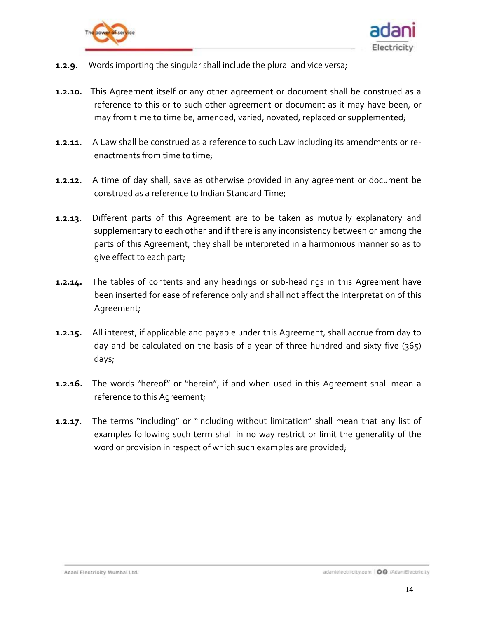



- **1.2.9.** Words importing the singular shall include the plural and vice versa;
- **1.2.10.** This Agreement itself or any other agreement or document shall be construed as a reference to this or to such other agreement or document as it may have been, or may from time to time be, amended, varied, novated, replaced or supplemented;
- **1.2.11.** A Law shall be construed as a reference to such Law including its amendments or reenactments from time to time;
- **1.2.12.** A time of day shall, save as otherwise provided in any agreement or document be construed as a reference to Indian Standard Time;
- **1.2.13.** Different parts of this Agreement are to be taken as mutually explanatory and supplementary to each other and if there is any inconsistency between or among the parts of this Agreement, they shall be interpreted in a harmonious manner so as to give effect to each part;
- **1.2.14.** The tables of contents and any headings or sub-headings in this Agreement have been inserted for ease of reference only and shall not affect the interpretation of this Agreement;
- **1.2.15.** All interest, if applicable and payable under this Agreement, shall accrue from day to day and be calculated on the basis of a year of three hundred and sixty five (365) days;
- **1.2.16.** The words "hereof" or "herein", if and when used in this Agreement shall mean a reference to this Agreement;
- **1.2.17.** The terms "including" or "including without limitation" shall mean that any list of examples following such term shall in no way restrict or limit the generality of the word or provision in respect of which such examples are provided;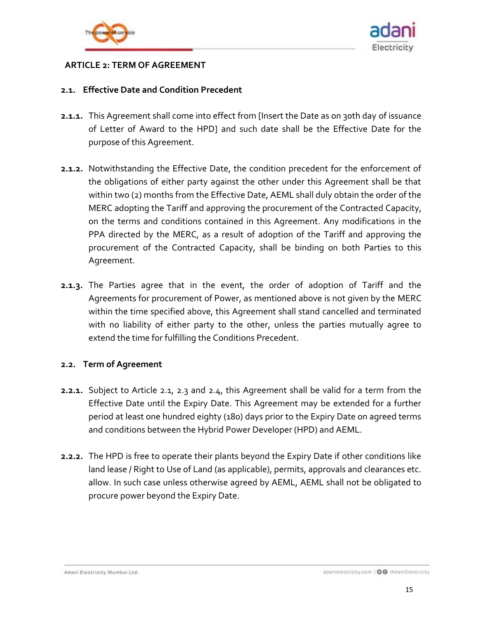



### <span id="page-14-0"></span>**ARTICLE 2: TERM OF AGREEMENT**

#### <span id="page-14-1"></span>**2.1. Effective Date and Condition Precedent**

- **2.1.1.** This Agreement shall come into effect from [Insert the Date as on 30th day of issuance of Letter of Award to the HPD] and such date shall be the Effective Date for the purpose of this Agreement.
- <span id="page-14-2"></span>**2.1.2.** Notwithstanding the Effective Date, the condition precedent for the enforcement of the obligations of either party against the other under this Agreement shall be that within two (2) months from the Effective Date, AEML shall duly obtain the order of the MERC adopting the Tariff and approving the procurement of the Contracted Capacity, on the terms and conditions contained in this Agreement. Any modifications in the PPA directed by the MERC, as a result of adoption of the Tariff and approving the procurement of the Contracted Capacity, shall be binding on both Parties to this Agreement.
- **2.1.3.** The Parties agree that in the event, the order of adoption of Tariff and the Agreements for procurement of Power, as mentioned above is not given by the MERC within the time specified above, this Agreement shall stand cancelled and terminated with no liability of either party to the other, unless the parties mutually agree to extend the time for fulfilling the Conditions Precedent.

### **2.2. Term of Agreement**

- **2.2.1.** Subject to Article [2.1,](#page-14-1) [2.3](#page-15-0) and [2.4,](#page-15-1) this Agreement shall be valid for a term from the Effective Date until the Expiry Date. This Agreement may be extended for a further period at least one hundred eighty (180) days prior to the Expiry Date on agreed terms and conditions between the Hybrid Power Developer (HPD) and AEML.
- **2.2.2.** The HPD is free to operate their plants beyond the Expiry Date if other conditions like land lease / Right to Use of Land (as applicable), permits, approvals and clearances etc. allow. In such case unless otherwise agreed by AEML, AEML shall not be obligated to procure power beyond the Expiry Date.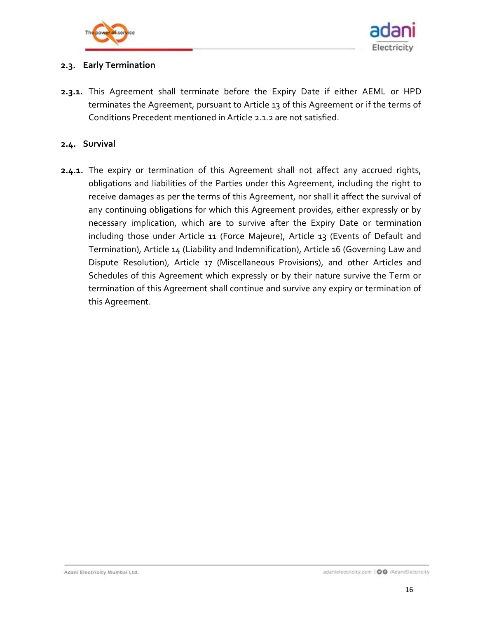



## <span id="page-15-0"></span>**2.3. Early Termination**

**2.3.1.** This Agreement shall terminate before the Expiry Date if either AEML or HPD terminates the Agreement, pursuant to Article 13 of this Agreement or if the terms of Conditions Precedent mentioned in Article [2.1.2](#page-14-2) are not satisfied.

### <span id="page-15-1"></span>**2.4. Survival**

**2.4.1.** The expiry or termination of this Agreement shall not affect any accrued rights, obligations and liabilities of the Parties under this Agreement, including the right to receive damages as per the terms of this Agreement, nor shall it affect the survival of any continuing obligations for which this Agreement provides, either expressly or by necessary implication, which are to survive after the Expiry Date or termination including those under Article 11 (Force Majeure), Article 13 (Events of Default and Termination), Article 14 (Liability and Indemnification), Article 16 (Governing Law and Dispute Resolution), Article 17 (Miscellaneous Provisions), and other Articles and Schedules of this Agreement which expressly or by their nature survive the Term or termination of this Agreement shall continue and survive any expiry or termination of this Agreement.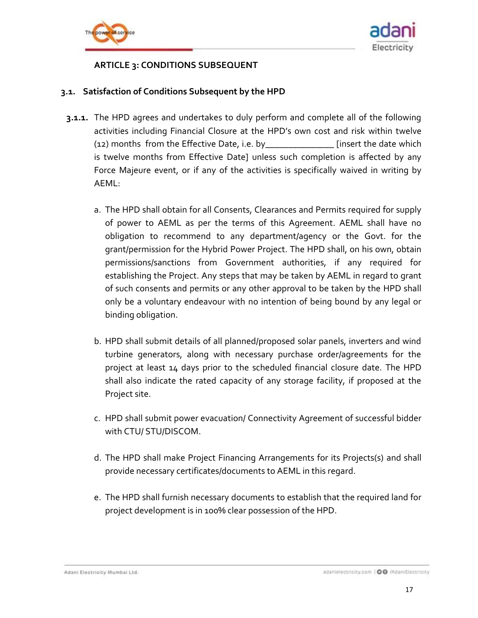



## **ARTICLE 3: CONDITIONS SUBSEQUENT**

### <span id="page-16-1"></span><span id="page-16-0"></span>**3.1. Satisfaction of Conditions Subsequent by the HPD**

- **3.1.1.** The HPD agrees and undertakes to duly perform and complete all of the following activities including Financial Closure at the HPD's own cost and risk within twelve (12) months from the Effective Date, i.e. by\_\_\_\_\_\_\_\_\_\_\_\_\_\_\_ [insert the date which is twelve months from Effective Date] unless such completion is affected by any Force Majeure event, or if any of the activities is specifically waived in writing by AEML:
	- a. The HPD shall obtain for all Consents, Clearances and Permits required for supply of power to AEML as per the terms of this Agreement. AEML shall have no obligation to recommend to any department/agency or the Govt. for the grant/permission for the Hybrid Power Project. The HPD shall, on his own, obtain permissions/sanctions from Government authorities, if any required for establishing the Project. Any steps that may be taken by AEML in regard to grant of such consents and permits or any other approval to be taken by the HPD shall only be a voluntary endeavour with no intention of being bound by any legal or binding obligation.
	- b. HPD shall submit details of all planned/proposed solar panels, inverters and wind turbine generators, along with necessary purchase order/agreements for the project at least 14 days prior to the scheduled financial closure date. The HPD shall also indicate the rated capacity of any storage facility, if proposed at the Project site.
	- c. HPD shall submit power evacuation/ Connectivity Agreement of successful bidder with CTU/ STU/DISCOM.
	- d. The HPD shall make Project Financing Arrangements for its Projects(s) and shall provide necessary certificates/documents to AEML in this regard.
	- e. The HPD shall furnish necessary documents to establish that the required land for project development is in 100% clear possession of the HPD.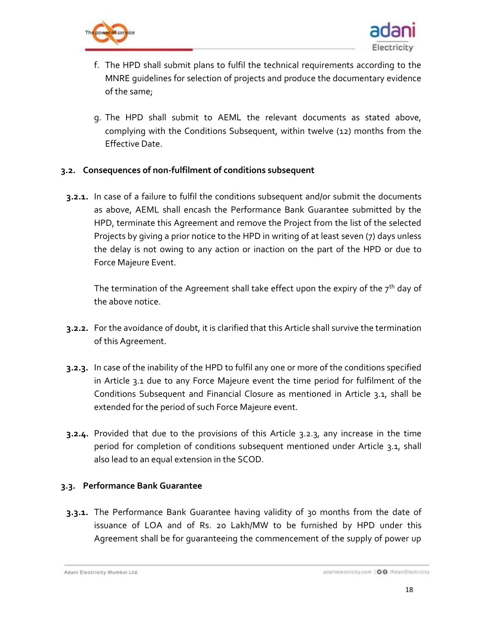



- f. The HPD shall submit plans to fulfil the technical requirements according to the MNRE guidelines for selection of projects and produce the documentary evidence of the same;
- g. The HPD shall submit to AEML the relevant documents as stated above, complying with the Conditions Subsequent, within twelve (12) months from the Effective Date.

### **3.2. Consequences of non-fulfilment of conditions subsequent**

**3.2.1.** In case of a failure to fulfil the conditions subsequent and/or submit the documents as above, AEML shall encash the Performance Bank Guarantee submitted by the HPD, terminate this Agreement and remove the Project from the list of the selected Projects by giving a prior notice to the HPD in writing of at least seven (7) days unless the delay is not owing to any action or inaction on the part of the HPD or due to Force Majeure Event.

The termination of the Agreement shall take effect upon the expiry of the  $7<sup>th</sup>$  day of the above notice.

- **3.2.2.** For the avoidance of doubt, it is clarified that this Article shall survive the termination of this Agreement.
- <span id="page-17-0"></span>**3.2.3.** In case of the inability of the HPD to fulfil any one or more of the conditions specified in Article [3.1](#page-16-1) due to any Force Majeure event the time period for fulfilment of the Conditions Subsequent and Financial Closure as mentioned in Article [3.1,](#page-16-1) shall be extended for the period of such Force Majeure event.
- **3.2.4.** Provided that due to the provisions of this Article [3.2.3,](#page-17-0) any increase in the time period for completion of conditions subsequent mentioned under Article [3.1,](#page-16-1) shall also lead to an equal extension in the SCOD.

## <span id="page-17-1"></span>**3.3. Performance Bank Guarantee**

**3.3.1.** The Performance Bank Guarantee having validity of 30 months from the date of issuance of LOA and of Rs. 20 Lakh/MW to be furnished by HPD under this Agreement shall be for guaranteeing the commencement of the supply of power up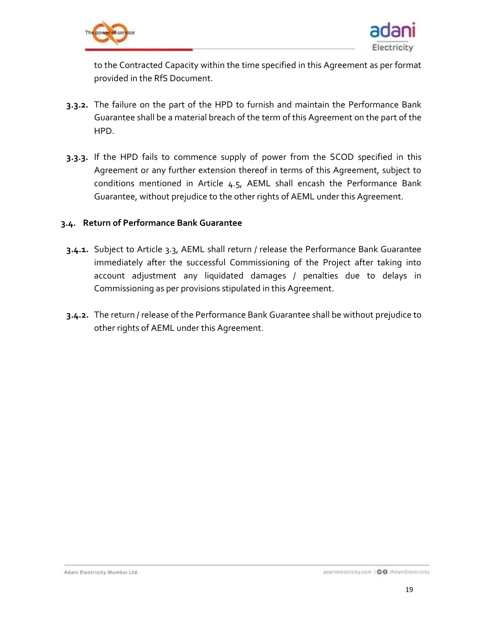



to the Contracted Capacity within the time specified in this Agreement as per format provided in the RfS Document.

- **3.3.2.** The failure on the part of the HPD to furnish and maintain the Performance Bank Guarantee shall be a material breach of the term of this Agreement on the part of the HPD.
- **3.3.3.** If the HPD fails to commence supply of power from the SCOD specified in this Agreement or any further extension thereof in terms of this Agreement, subject to conditions mentioned in Article [4.5,](#page-23-0) AEML shall encash the Performance Bank Guarantee, without prejudice to the other rights of AEML under this Agreement.

#### **3.4. Return of Performance Bank Guarantee**

- **3.4.1.** Subject to Article [3.3,](#page-17-1) AEML shall return / release the Performance Bank Guarantee immediately after the successful Commissioning of the Project after taking into account adjustment any liquidated damages / penalties due to delays in Commissioning as per provisions stipulated in this Agreement.
- **3.4.2.** The return / release of the Performance Bank Guarantee shall be without prejudice to other rights of AEML under this Agreement.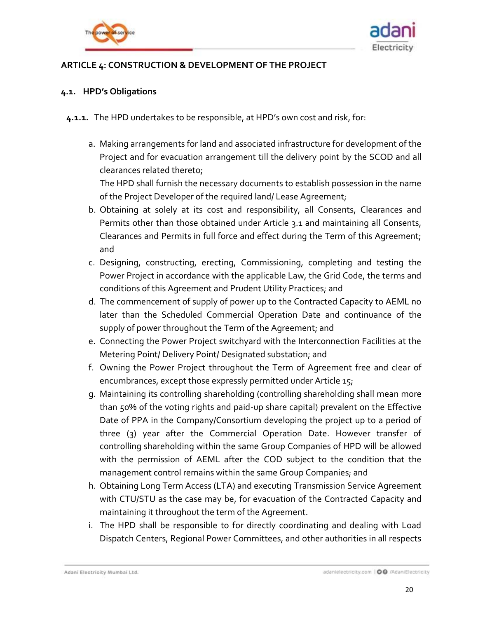



## <span id="page-19-0"></span>**ARTICLE 4: CONSTRUCTION & DEVELOPMENT OF THE PROJECT**

#### <span id="page-19-1"></span>**4.1. HPD's Obligations**

- <span id="page-19-2"></span>**4.1.1.** The HPD undertakes to be responsible, at HPD's own cost and risk, for:
	- a. Making arrangements for land and associated infrastructure for development of the Project and for evacuation arrangement till the delivery point by the SCOD and all clearances related thereto;

The HPD shall furnish the necessary documents to establish possession in the name of the Project Developer of the required land/ Lease Agreement;

- b. Obtaining at solely at its cost and responsibility, all Consents, Clearances and Permits other than those obtained under Article [3.1](#page-16-1) and maintaining all Consents, Clearances and Permits in full force and effect during the Term of this Agreement; and
- c. Designing, constructing, erecting, Commissioning, completing and testing the Power Project in accordance with the applicable Law, the Grid Code, the terms and conditions of this Agreement and Prudent Utility Practices; and
- d. The commencement of supply of power up to the Contracted Capacity to AEML no later than the Scheduled Commercial Operation Date and continuance of the supply of power throughout the Term of the Agreement; and
- e. Connecting the Power Project switchyard with the Interconnection Facilities at the Metering Point/ Delivery Point/ Designated substation; and
- f. Owning the Power Project throughout the Term of Agreement free and clear of encumbrances, except those expressly permitted under Article 15;
- g. Maintaining its controlling shareholding (controlling shareholding shall mean more than 50% of the voting rights and paid-up share capital) prevalent on the Effective Date of PPA in the Company/Consortium developing the project up to a period of three (3) year after the Commercial Operation Date. However transfer of controlling shareholding within the same Group Companies of HPD will be allowed with the permission of AEML after the COD subject to the condition that the management control remains within the same Group Companies; and
- h. Obtaining Long Term Access (LTA) and executing Transmission Service Agreement with CTU/STU as the case may be, for evacuation of the Contracted Capacity and maintaining it throughout the term of the Agreement.
- i. The HPD shall be responsible to for directly coordinating and dealing with Load Dispatch Centers, Regional Power Committees, and other authorities in all respects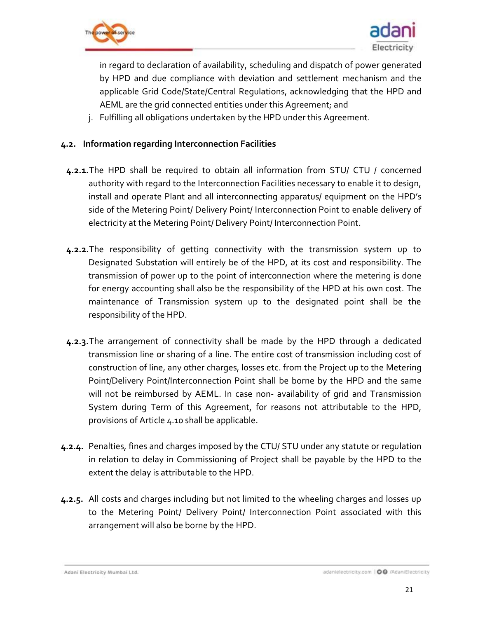



in regard to declaration of availability, scheduling and dispatch of power generated by HPD and due compliance with deviation and settlement mechanism and the applicable Grid Code/State/Central Regulations, acknowledging that the HPD and AEML are the grid connected entities under this Agreement; and

j. Fulfilling all obligations undertaken by the HPD under this Agreement.

## **4.2. Information regarding Interconnection Facilities**

- **4.2.1.**The HPD shall be required to obtain all information from STU/ CTU / concerned authority with regard to the Interconnection Facilities necessary to enable it to design, install and operate Plant and all interconnecting apparatus/ equipment on the HPD's side of the Metering Point/ Delivery Point/ Interconnection Point to enable delivery of electricity at the Metering Point/ Delivery Point/ Interconnection Point.
- **4.2.2.**The responsibility of getting connectivity with the transmission system up to Designated Substation will entirely be of the HPD, at its cost and responsibility. The transmission of power up to the point of interconnection where the metering is done for energy accounting shall also be the responsibility of the HPD at his own cost. The maintenance of Transmission system up to the designated point shall be the responsibility of the HPD.
- **4.2.3.**The arrangement of connectivity shall be made by the HPD through a dedicated transmission line or sharing of a line. The entire cost of transmission including cost of construction of line, any other charges, losses etc. from the Project up to the Metering Point/Delivery Point/Interconnection Point shall be borne by the HPD and the same will not be reimbursed by AEML. In case non- availability of grid and Transmission System during Term of this Agreement, for reasons not attributable to the HPD, provisions of Article [4.10](#page-25-0) shall be applicable.
- **4.2.4.** Penalties, fines and charges imposed by the CTU/ STU under any statute or regulation in relation to delay in Commissioning of Project shall be payable by the HPD to the extent the delay is attributable to the HPD.
- **4.2.5.** All costs and charges including but not limited to the wheeling charges and losses up to the Metering Point/ Delivery Point/ Interconnection Point associated with this arrangement will also be borne by the HPD.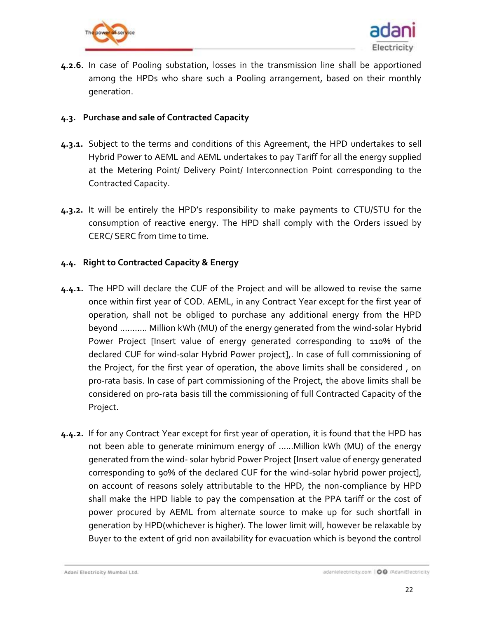



**4.2.6.** In case of Pooling substation, losses in the transmission line shall be apportioned among the HPDs who share such a Pooling arrangement, based on their monthly generation.

### **4.3. Purchase and sale of Contracted Capacity**

- **4.3.1.** Subject to the terms and conditions of this Agreement, the HPD undertakes to sell Hybrid Power to AEML and AEML undertakes to pay Tariff for all the energy supplied at the Metering Point/ Delivery Point/ Interconnection Point corresponding to the Contracted Capacity.
- **4.3.2.** It will be entirely the HPD's responsibility to make payments to CTU/STU for the consumption of reactive energy. The HPD shall comply with the Orders issued by CERC/ SERC from time to time.

### **4.4. Right to Contracted Capacity & Energy**

- <span id="page-21-0"></span>**4.4.1.** The HPD will declare the CUF of the Project and will be allowed to revise the same once within first year of COD. AEML, in any Contract Year except for the first year of operation, shall not be obliged to purchase any additional energy from the HPD beyond ……….. Million kWh (MU) of the energy generated from the wind-solar Hybrid Power Project [Insert value of energy generated corresponding to 110% of the declared CUF for wind-solar Hybrid Power project],. In case of full commissioning of the Project, for the first year of operation, the above limits shall be considered , on pro-rata basis. In case of part commissioning of the Project, the above limits shall be considered on pro-rata basis till the commissioning of full Contracted Capacity of the Project.
- **4.4.2.** If for any Contract Year except for first year of operation, it is found that the HPD has not been able to generate minimum energy of …...Million kWh (MU) of the energy generated from the wind- solar hybrid Power Project [Insert value of energy generated corresponding to 90% of the declared CUF for the wind-solar hybrid power project], on account of reasons solely attributable to the HPD, the non-compliance by HPD shall make the HPD liable to pay the compensation at the PPA tariff or the cost of power procured by AEML from alternate source to make up for such shortfall in generation by HPD(whichever is higher). The lower limit will, however be relaxable by Buyer to the extent of grid non availability for evacuation which is beyond the control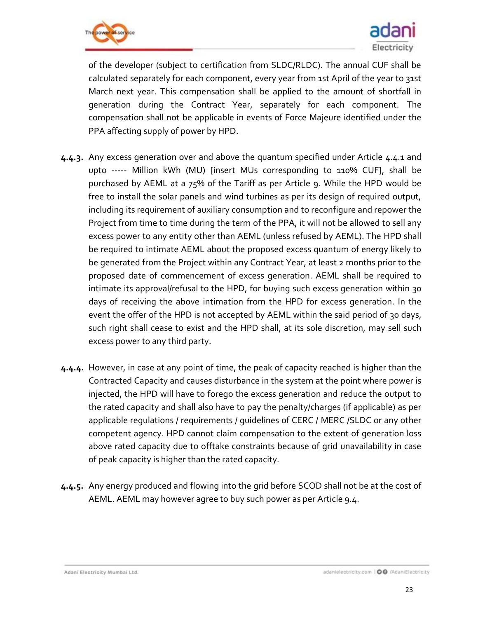



of the developer (subject to certification from SLDC/RLDC). The annual CUF shall be calculated separately for each component, every year from 1st April of the year to 31st March next year. This compensation shall be applied to the amount of shortfall in generation during the Contract Year, separately for each component. The compensation shall not be applicable in events of Force Majeure identified under the PPA affecting supply of power by HPD.

- **4.4.3.** Any excess generation over and above the quantum specified under Article [4.4.1](#page-21-0) and upto ----- Million kWh (MU) [insert MUs corresponding to 110% CUF], shall be purchased by AEML at a 75% of the Tariff as per Article 9. While the HPD would be free to install the solar panels and wind turbines as per its design of required output, including its requirement of auxiliary consumption and to reconfigure and repower the Project from time to time during the term of the PPA, it will not be allowed to sell any excess power to any entity other than AEML (unless refused by AEML). The HPD shall be required to intimate AEML about the proposed excess quantum of energy likely to be generated from the Project within any Contract Year, at least 2 months prior to the proposed date of commencement of excess generation. AEML shall be required to intimate its approval/refusal to the HPD, for buying such excess generation within 30 days of receiving the above intimation from the HPD for excess generation. In the event the offer of the HPD is not accepted by AEML within the said period of 30 days, such right shall cease to exist and the HPD shall, at its sole discretion, may sell such excess power to any third party.
- **4.4.4.** However, in case at any point of time, the peak of capacity reached is higher than the Contracted Capacity and causes disturbance in the system at the point where power is injected, the HPD will have to forego the excess generation and reduce the output to the rated capacity and shall also have to pay the penalty/charges (if applicable) as per applicable regulations / requirements / guidelines of CERC / MERC /SLDC or any other competent agency. HPD cannot claim compensation to the extent of generation loss above rated capacity due to offtake constraints because of grid unavailability in case of peak capacity is higher than the rated capacity.
- **4.4.5.** Any energy produced and flowing into the grid before SCOD shall not be at the cost of AEML. AEML may however agree to buy such power as per Article 9.4.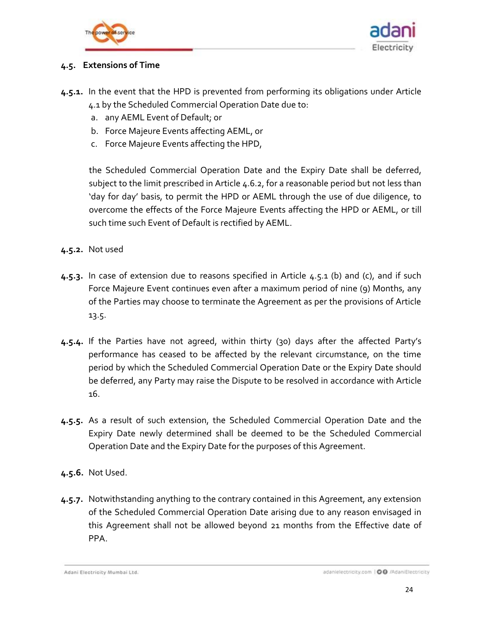



### <span id="page-23-0"></span>**4.5. Extensions of Time**

- <span id="page-23-1"></span>**4.5.1.** In the event that the HPD is prevented from performing its obligations under Article [4.1](#page-19-1) by the Scheduled Commercial Operation Date due to:
	- a. any AEML Event of Default; or
	- b. Force Majeure Events affecting AEML, or
	- c. Force Majeure Events affecting the HPD,

the Scheduled Commercial Operation Date and the Expiry Date shall be deferred, subject to the limit prescribed in Article [4.6.2,](#page-24-0) for a reasonable period but not less than 'day for day' basis, to permit the HPD or AEML through the use of due diligence, to overcome the effects of the Force Majeure Events affecting the HPD or AEML, or till such time such Event of Default is rectified by AEML.

- **4.5.2.** Not used
- <span id="page-23-2"></span>**4.5.3.** In case of extension due to reasons specified in Article [4.5.1](#page-23-1) (b) and (c), and if such Force Majeure Event continues even after a maximum period of nine (9) Months, any of the Parties may choose to terminate the Agreement as per the provisions of Article [13.5.](#page-53-0)
- **4.5.4.** If the Parties have not agreed, within thirty (30) days after the affected Party's performance has ceased to be affected by the relevant circumstance, on the time period by which the Scheduled Commercial Operation Date or the Expiry Date should be deferred, any Party may raise the Dispute to be resolved in accordance with Article 16.
- **4.5.5.** As a result of such extension, the Scheduled Commercial Operation Date and the Expiry Date newly determined shall be deemed to be the Scheduled Commercial Operation Date and the Expiry Date for the purposes of this Agreement.
- **4.5.6.** Not Used.
- **4.5.7.** Notwithstanding anything to the contrary contained in this Agreement, any extension of the Scheduled Commercial Operation Date arising due to any reason envisaged in this Agreement shall not be allowed beyond 21 months from the Effective date of PPA.

Adani Electricity Mumbai Ltd.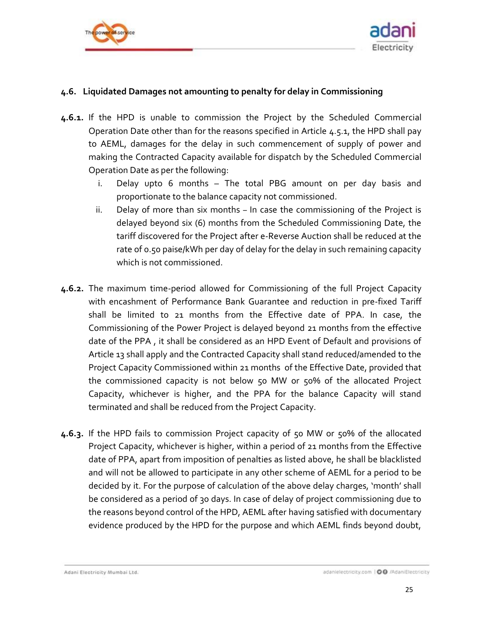



### <span id="page-24-1"></span>**4.6. Liquidated Damages not amounting to penalty for delay in Commissioning**

- **4.6.1.** If the HPD is unable to commission the Project by the Scheduled Commercial Operation Date other than for the reasons specified in Article [4.5.1,](#page-23-1) the HPD shall pay to AEML, damages for the delay in such commencement of supply of power and making the Contracted Capacity available for dispatch by the Scheduled Commercial Operation Date as per the following:
	- i. Delay upto 6 months The total PBG amount on per day basis and proportionate to the balance capacity not commissioned.
	- ii. Delay of more than six months In case the commissioning of the Project is delayed beyond six (6) months from the Scheduled Commissioning Date, the tariff discovered for the Project after e-Reverse Auction shall be reduced at the rate of 0.50 paise/kWh per day of delay for the delay in such remaining capacity which is not commissioned.
- <span id="page-24-0"></span>**4.6.2.** The maximum time-period allowed for Commissioning of the full Project Capacity with encashment of Performance Bank Guarantee and reduction in pre-fixed Tariff shall be limited to 21 months from the Effective date of PPA. In case, the Commissioning of the Power Project is delayed beyond 21 months from the effective date of the PPA , it shall be considered as an HPD Event of Default and provisions of Article 13 shall apply and the Contracted Capacity shall stand reduced/amended to the Project Capacity Commissioned within 21 months of the Effective Date, provided that the commissioned capacity is not below 50 MW or 50% of the allocated Project Capacity, whichever is higher, and the PPA for the balance Capacity will stand terminated and shall be reduced from the Project Capacity.
- **4.6.3.** If the HPD fails to commission Project capacity of 50 MW or 50% of the allocated Project Capacity, whichever is higher, within a period of 21 months from the Effective date of PPA, apart from imposition of penalties as listed above, he shall be blacklisted and will not be allowed to participate in any other scheme of AEML for a period to be decided by it. For the purpose of calculation of the above delay charges, 'month' shall be considered as a period of 30 days. In case of delay of project commissioning due to the reasons beyond control of the HPD, AEML after having satisfied with documentary evidence produced by the HPD for the purpose and which AEML finds beyond doubt,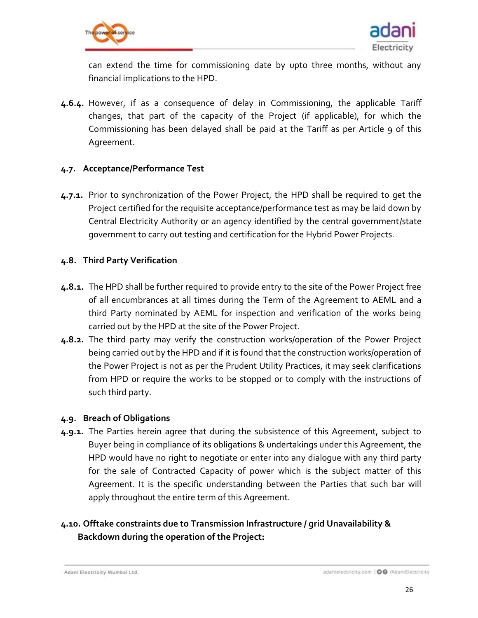



can extend the time for commissioning date by upto three months, without any financial implications to the HPD.

**4.6.4.** However, if as a consequence of delay in Commissioning, the applicable Tariff changes, that part of the capacity of the Project (if applicable), for which the Commissioning has been delayed shall be paid at the Tariff as per Article 9 of this Agreement.

#### **4.7. Acceptance/Performance Test**

**4.7.1.** Prior to synchronization of the Power Project, the HPD shall be required to get the Project certified for the requisite acceptance/performance test as may be laid down by Central Electricity Authority or an agency identified by the central government/state government to carry out testing and certification for the Hybrid Power Projects.

### **4.8. Third Party Verification**

- **4.8.1.** The HPD shall be further required to provide entry to the site of the Power Project free of all encumbrances at all times during the Term of the Agreement to AEML and a third Party nominated by AEML for inspection and verification of the works being carried out by the HPD at the site of the Power Project.
- **4.8.2.** The third party may verify the construction works/operation of the Power Project being carried out by the HPD and if it is found that the construction works/operation of the Power Project is not as per the Prudent Utility Practices, it may seek clarifications from HPD or require the works to be stopped or to comply with the instructions of such third party.

### **4.9. Breach of Obligations**

**4.9.1.** The Parties herein agree that during the subsistence of this Agreement, subject to Buyer being in compliance of its obligations & undertakings under this Agreement, the HPD would have no right to negotiate or enter into any dialogue with any third party for the sale of Contracted Capacity of power which is the subject matter of this Agreement. It is the specific understanding between the Parties that such bar will apply throughout the entire term of this Agreement.

## <span id="page-25-0"></span>**4.10. Offtake constraints due to Transmission Infrastructure / grid Unavailability & Backdown during the operation of the Project:**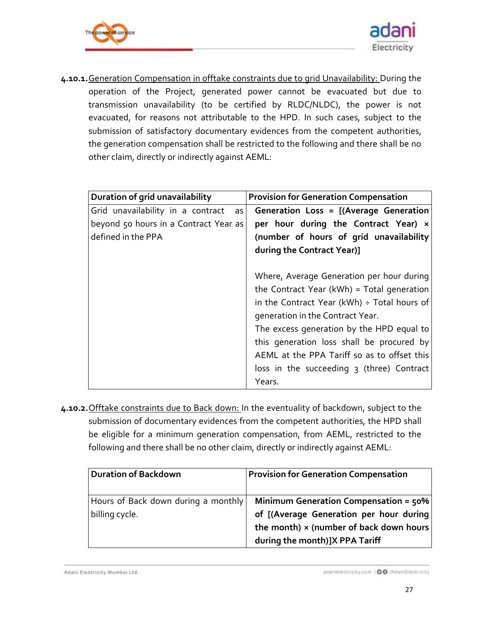



**4.10.1.**Generation Compensation in offtake constraints due to grid Unavailability: During the operation of the Project, generated power cannot be evacuated but due to transmission unavailability (to be certified by RLDC/NLDC), the power is not evacuated, for reasons not attributable to the HPD. In such cases, subject to the submission of satisfactory documentary evidences from the competent authorities, the generation compensation shall be restricted to the following and there shall be no other claim, directly or indirectly against AEML:

| Duration of grid unavailability           | <b>Provision for Generation Compensation</b>                                                                                                                                                                                                                                                                                                                                                   |
|-------------------------------------------|------------------------------------------------------------------------------------------------------------------------------------------------------------------------------------------------------------------------------------------------------------------------------------------------------------------------------------------------------------------------------------------------|
| Grid unavailability in a contract<br>as I | Generation Loss = [(Average Generation                                                                                                                                                                                                                                                                                                                                                         |
| beyond 50 hours in a Contract Year as     | per hour during the Contract Year) x                                                                                                                                                                                                                                                                                                                                                           |
| defined in the PPA                        | (number of hours of grid unavailability                                                                                                                                                                                                                                                                                                                                                        |
|                                           | during the Contract Year)]                                                                                                                                                                                                                                                                                                                                                                     |
|                                           | Where, Average Generation per hour during<br>the Contract Year ( $kWh$ ) = Total generation<br>in the Contract Year ( $kWh$ ) ÷ Total hours of<br>generation in the Contract Year.<br>The excess generation by the HPD equal to<br>this generation loss shall be procured by<br>AEML at the PPA Tariff so as to offset this<br>loss in the succeeding $\frac{1}{3}$ (three) Contract<br>Years. |

**4.10.2.**Offtake constraints due to Back down: In the eventuality of backdown, subject to the submission of documentary evidences from the competent authorities, the HPD shall be eligible for a minimum generation compensation, from AEML, restricted to the following and there shall be no other claim, directly or indirectly against AEML:

| <b>Duration of Backdown</b>                           | <b>Provision for Generation Compensation</b>                                                                                                                            |
|-------------------------------------------------------|-------------------------------------------------------------------------------------------------------------------------------------------------------------------------|
| Hours of Back down during a monthly<br>billing cycle. | Minimum Generation Compensation = $50\%$<br>of [(Average Generation per hour during<br>the month) $\times$ (number of back down hours<br>during the month)]X PPA Tariff |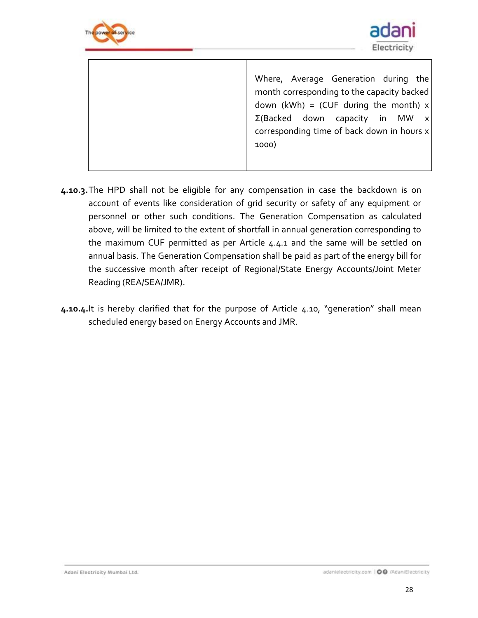



Where, Average Generation during the month corresponding to the capacity backed down (kWh) = (CUF during the month)  $x$ Σ(Backed down capacity in MW x corresponding time of back down in hours x 1000)

- **4.10.3.**The HPD shall not be eligible for any compensation in case the backdown is on account of events like consideration of grid security or safety of any equipment or personnel or other such conditions. The Generation Compensation as calculated above, will be limited to the extent of shortfall in annual generation corresponding to the maximum CUF permitted as per Article [4.4.1](#page-21-0) and the same will be settled on annual basis. The Generation Compensation shall be paid as part of the energy bill for the successive month after receipt of Regional/State Energy Accounts/Joint Meter Reading (REA/SEA/JMR).
- **4.10.4.**It is hereby clarified that for the purpose of Article [4.10](#page-25-0), "generation" shall mean scheduled energy based on Energy Accounts and JMR.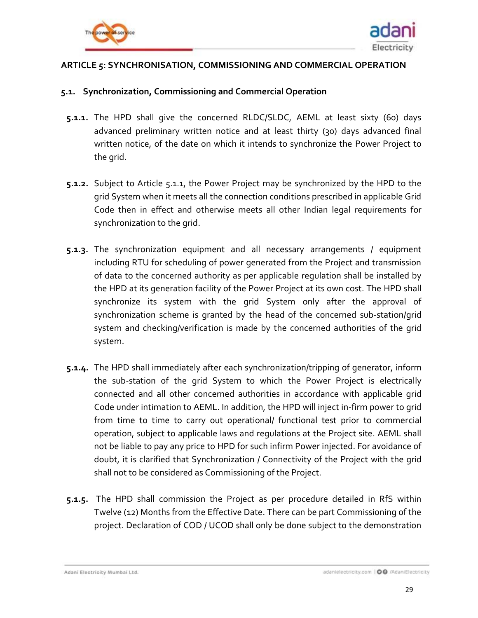



### <span id="page-28-0"></span>**ARTICLE 5: SYNCHRONISATION, COMMISSIONING AND COMMERCIAL OPERATION**

#### <span id="page-28-1"></span>**5.1. Synchronization, Commissioning and Commercial Operation**

- <span id="page-28-2"></span>**5.1.1.** The HPD shall give the concerned RLDC/SLDC, AEML at least sixty (60) days advanced preliminary written notice and at least thirty (30) days advanced final written notice, of the date on which it intends to synchronize the Power Project to the grid.
- **5.1.2.** Subject to Article [5.1.1,](#page-28-2) the Power Project may be synchronized by the HPD to the grid System when it meets all the connection conditions prescribed in applicable Grid Code then in effect and otherwise meets all other Indian legal requirements for synchronization to the grid.
- **5.1.3.** The synchronization equipment and all necessary arrangements / equipment including RTU for scheduling of power generated from the Project and transmission of data to the concerned authority as per applicable regulation shall be installed by the HPD at its generation facility of the Power Project at its own cost. The HPD shall synchronize its system with the grid System only after the approval of synchronization scheme is granted by the head of the concerned sub-station/grid system and checking/verification is made by the concerned authorities of the grid system.
- **5.1.4.** The HPD shall immediately after each synchronization/tripping of generator, inform the sub-station of the grid System to which the Power Project is electrically connected and all other concerned authorities in accordance with applicable grid Code under intimation to AEML. In addition, the HPD will inject in-firm power to grid from time to time to carry out operational/ functional test prior to commercial operation, subject to applicable laws and regulations at the Project site. AEML shall not be liable to pay any price to HPD for such infirm Power injected. For avoidance of doubt, it is clarified that Synchronization / Connectivity of the Project with the grid shall not to be considered as Commissioning of the Project.
- **5.1.5.** The HPD shall commission the Project as per procedure detailed in RfS within Twelve (12) Months from the Effective Date. There can be part Commissioning of the project. Declaration of COD / UCOD shall only be done subject to the demonstration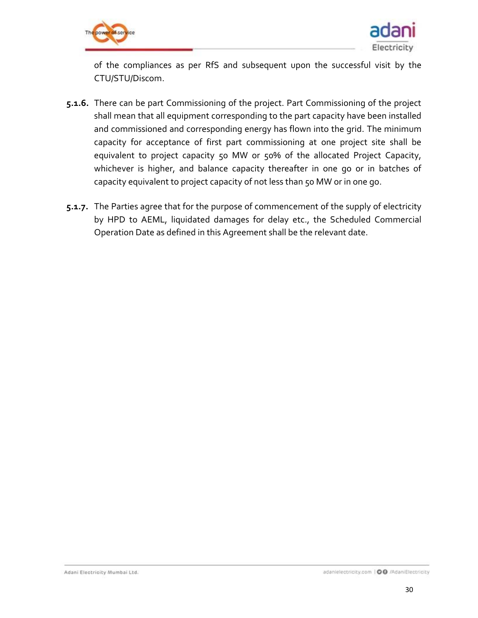



of the compliances as per RfS and subsequent upon the successful visit by the CTU/STU/Discom.

- **5.1.6.** There can be part Commissioning of the project. Part Commissioning of the project shall mean that all equipment corresponding to the part capacity have been installed and commissioned and corresponding energy has flown into the grid. The minimum capacity for acceptance of first part commissioning at one project site shall be equivalent to project capacity 50 MW or 50% of the allocated Project Capacity, whichever is higher, and balance capacity thereafter in one go or in batches of capacity equivalent to project capacity of not less than 50 MW or in one go.
- **5.1.7.** The Parties agree that for the purpose of commencement of the supply of electricity by HPD to AEML, liquidated damages for delay etc., the Scheduled Commercial Operation Date as defined in this Agreement shall be the relevant date.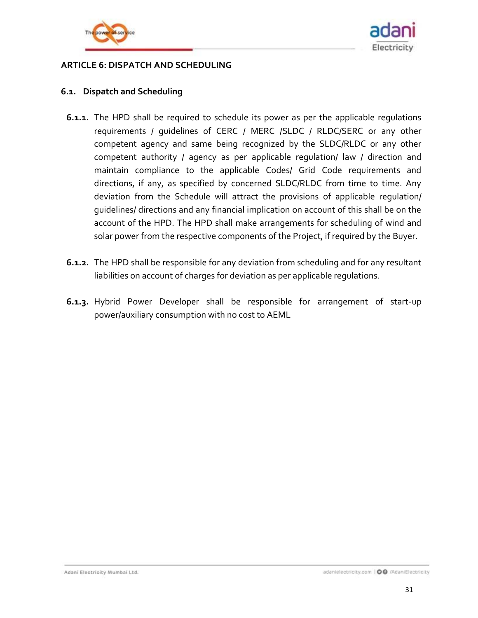



### <span id="page-30-0"></span>**ARTICLE 6: DISPATCH AND SCHEDULING**

### **6.1. Dispatch and Scheduling**

- **6.1.1.** The HPD shall be required to schedule its power as per the applicable regulations requirements / guidelines of CERC / MERC /SLDC / RLDC/SERC or any other competent agency and same being recognized by the SLDC/RLDC or any other competent authority / agency as per applicable regulation/ law / direction and maintain compliance to the applicable Codes/ Grid Code requirements and directions, if any, as specified by concerned SLDC/RLDC from time to time. Any deviation from the Schedule will attract the provisions of applicable regulation/ guidelines/ directions and any financial implication on account of this shall be on the account of the HPD. The HPD shall make arrangements for scheduling of wind and solar power from the respective components of the Project, if required by the Buyer.
- **6.1.2.** The HPD shall be responsible for any deviation from scheduling and for any resultant liabilities on account of charges for deviation as per applicable regulations.
- **6.1.3.** Hybrid Power Developer shall be responsible for arrangement of start-up power/auxiliary consumption with no cost to AEML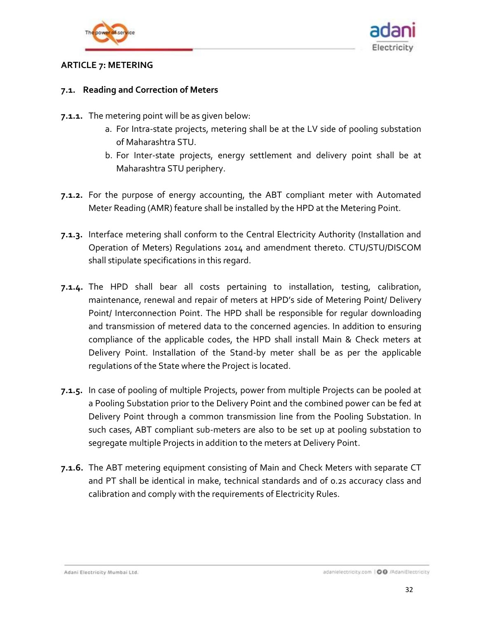



### <span id="page-31-0"></span>**ARTICLE 7: METERING**

### **7.1. Reading and Correction of Meters**

- **7.1.1.** The metering point will be as given below:
	- a. For Intra-state projects, metering shall be at the LV side of pooling substation of Maharashtra STU.
	- b. For Inter-state projects, energy settlement and delivery point shall be at Maharashtra STU periphery.
- **7.1.2.** For the purpose of energy accounting, the ABT compliant meter with Automated Meter Reading (AMR) feature shall be installed by the HPD at the Metering Point.
- **7.1.3.** Interface metering shall conform to the Central Electricity Authority (Installation and Operation of Meters) Regulations 2014 and amendment thereto. CTU/STU/DISCOM shall stipulate specifications in this regard.
- <span id="page-31-1"></span>**7.1.4.** The HPD shall bear all costs pertaining to installation, testing, calibration, maintenance, renewal and repair of meters at HPD's side of Metering Point/ Delivery Point/ Interconnection Point. The HPD shall be responsible for regular downloading and transmission of metered data to the concerned agencies. In addition to ensuring compliance of the applicable codes, the HPD shall install Main & Check meters at Delivery Point. Installation of the Stand-by meter shall be as per the applicable regulations of the State where the Project is located.
- **7.1.5.** In case of pooling of multiple Projects, power from multiple Projects can be pooled at a Pooling Substation prior to the Delivery Point and the combined power can be fed at Delivery Point through a common transmission line from the Pooling Substation. In such cases, ABT compliant sub-meters are also to be set up at pooling substation to segregate multiple Projects in addition to the meters at Delivery Point.
- **7.1.6.** The ABT metering equipment consisting of Main and Check Meters with separate CT and PT shall be identical in make, technical standards and of 0.2s accuracy class and calibration and comply with the requirements of Electricity Rules.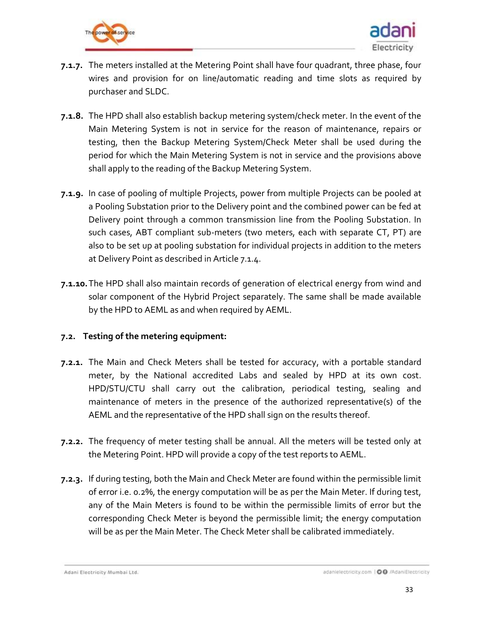



- **7.1.7.** The meters installed at the Metering Point shall have four quadrant, three phase, four wires and provision for on line/automatic reading and time slots as required by purchaser and SLDC.
- **7.1.8.** The HPD shall also establish backup metering system/check meter. In the event of the Main Metering System is not in service for the reason of maintenance, repairs or testing, then the Backup Metering System/Check Meter shall be used during the period for which the Main Metering System is not in service and the provisions above shall apply to the reading of the Backup Metering System.
- **7.1.9.** In case of pooling of multiple Projects, power from multiple Projects can be pooled at a Pooling Substation prior to the Delivery point and the combined power can be fed at Delivery point through a common transmission line from the Pooling Substation. In such cases, ABT compliant sub-meters (two meters, each with separate CT, PT) are also to be set up at pooling substation for individual projects in addition to the meters at Delivery Point as described in Article [7.1.4.](#page-31-1)
- **7.1.10.**The HPD shall also maintain records of generation of electrical energy from wind and solar component of the Hybrid Project separately. The same shall be made available by the HPD to AEML as and when required by AEML.

### **7.2. Testing of the metering equipment:**

- **7.2.1.** The Main and Check Meters shall be tested for accuracy, with a portable standard meter, by the National accredited Labs and sealed by HPD at its own cost. HPD/STU/CTU shall carry out the calibration, periodical testing, sealing and maintenance of meters in the presence of the authorized representative(s) of the AEML and the representative of the HPD shall sign on the results thereof.
- **7.2.2.** The frequency of meter testing shall be annual. All the meters will be tested only at the Metering Point. HPD will provide a copy of the test reports to AEML.
- **7.2.3.** If during testing, both the Main and Check Meter are found within the permissible limit of error i.e. 0.2%, the energy computation will be as per the Main Meter. If during test, any of the Main Meters is found to be within the permissible limits of error but the corresponding Check Meter is beyond the permissible limit; the energy computation will be as per the Main Meter. The Check Meter shall be calibrated immediately.

Adani Electricity Mumbai Ltd.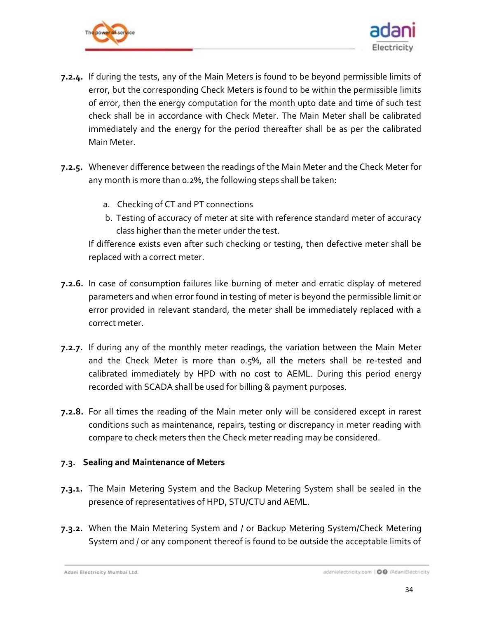



- **7.2.4.** If during the tests, any of the Main Meters is found to be beyond permissible limits of error, but the corresponding Check Meters is found to be within the permissible limits of error, then the energy computation for the month upto date and time of such test check shall be in accordance with Check Meter. The Main Meter shall be calibrated immediately and the energy for the period thereafter shall be as per the calibrated Main Meter.
- **7.2.5.** Whenever difference between the readings of the Main Meter and the Check Meter for any month is more than 0.2%, the following steps shall be taken:
	- a. Checking of CT and PT connections
	- b. Testing of accuracy of meter at site with reference standard meter of accuracy class higher than the meter under the test.

If difference exists even after such checking or testing, then defective meter shall be replaced with a correct meter.

- **7.2.6.** In case of consumption failures like burning of meter and erratic display of metered parameters and when error found in testing of meter is beyond the permissible limit or error provided in relevant standard, the meter shall be immediately replaced with a correct meter.
- **7.2.7.** If during any of the monthly meter readings, the variation between the Main Meter and the Check Meter is more than 0.5%, all the meters shall be re-tested and calibrated immediately by HPD with no cost to AEML. During this period energy recorded with SCADA shall be used for billing & payment purposes.
- **7.2.8.** For all times the reading of the Main meter only will be considered except in rarest conditions such as maintenance, repairs, testing or discrepancy in meter reading with compare to check meters then the Check meter reading may be considered.

## **7.3. Sealing and Maintenance of Meters**

- **7.3.1.** The Main Metering System and the Backup Metering System shall be sealed in the presence of representatives of HPD, STU/CTU and AEML.
- **7.3.2.** When the Main Metering System and / or Backup Metering System/Check Metering System and / or any component thereof is found to be outside the acceptable limits of

Adani Electricity Mumbai Ltd.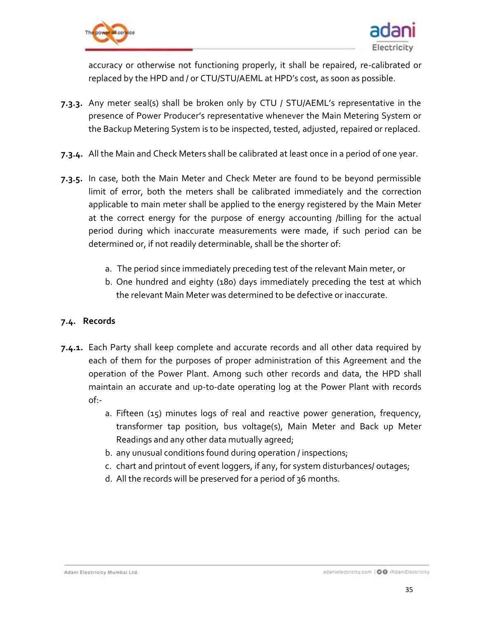



accuracy or otherwise not functioning properly, it shall be repaired, re-calibrated or replaced by the HPD and / or CTU/STU/AEML at HPD's cost, as soon as possible.

- **7.3.3.** Any meter seal(s) shall be broken only by CTU / STU/AEML's representative in the presence of Power Producer's representative whenever the Main Metering System or the Backup Metering System is to be inspected, tested, adjusted, repaired or replaced.
- **7.3.4.** All the Main and Check Meters shall be calibrated at least once in a period of one year.
- **7.3.5.** In case, both the Main Meter and Check Meter are found to be beyond permissible limit of error, both the meters shall be calibrated immediately and the correction applicable to main meter shall be applied to the energy registered by the Main Meter at the correct energy for the purpose of energy accounting /billing for the actual period during which inaccurate measurements were made, if such period can be determined or, if not readily determinable, shall be the shorter of:
	- a. The period since immediately preceding test of the relevant Main meter, or
	- b. One hundred and eighty (180) days immediately preceding the test at which the relevant Main Meter was determined to be defective or inaccurate.

### **7.4. Records**

- **7.4.1.** Each Party shall keep complete and accurate records and all other data required by each of them for the purposes of proper administration of this Agreement and the operation of the Power Plant. Among such other records and data, the HPD shall maintain an accurate and up-to-date operating log at the Power Plant with records of:
	- a. Fifteen (15) minutes logs of real and reactive power generation, frequency, transformer tap position, bus voltage(s), Main Meter and Back up Meter Readings and any other data mutually agreed;
	- b. any unusual conditions found during operation / inspections;
	- c. chart and printout of event loggers, if any, for system disturbances/ outages;
	- d. All the records will be preserved for a period of 36 months.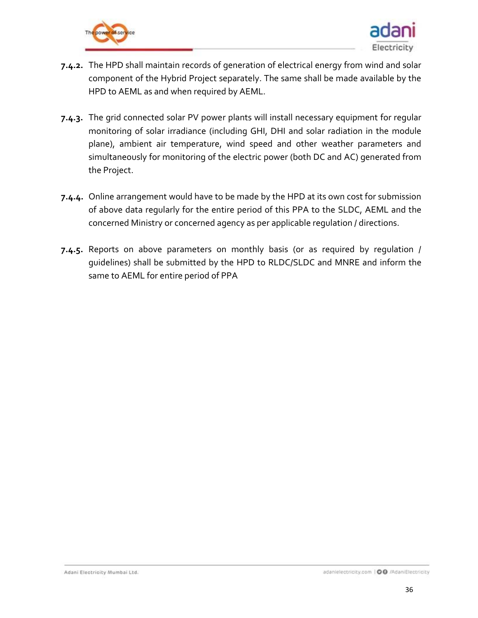



- **7.4.2.** The HPD shall maintain records of generation of electrical energy from wind and solar component of the Hybrid Project separately. The same shall be made available by the HPD to AEML as and when required by AEML.
- **7.4.3.** The grid connected solar PV power plants will install necessary equipment for regular monitoring of solar irradiance (including GHI, DHI and solar radiation in the module plane), ambient air temperature, wind speed and other weather parameters and simultaneously for monitoring of the electric power (both DC and AC) generated from the Project.
- **7.4.4.** Online arrangement would have to be made by the HPD at its own cost for submission of above data regularly for the entire period of this PPA to the SLDC, AEML and the concerned Ministry or concerned agency as per applicable regulation / directions.
- **7.4.5.** Reports on above parameters on monthly basis (or as required by regulation / guidelines) shall be submitted by the HPD to RLDC/SLDC and MNRE and inform the same to AEML for entire period of PPA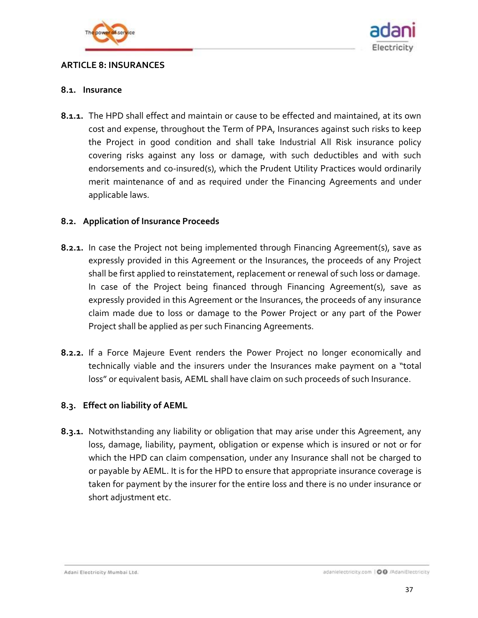

<span id="page-36-0"></span>



#### **8.1. Insurance**

<span id="page-36-1"></span>**8.1.1.** The HPD shall effect and maintain or cause to be effected and maintained, at its own cost and expense, throughout the Term of PPA, Insurances against such risks to keep the Project in good condition and shall take Industrial All Risk insurance policy covering risks against any loss or damage, with such deductibles and with such endorsements and co-insured(s), which the Prudent Utility Practices would ordinarily merit maintenance of and as required under the Financing Agreements and under applicable laws.

### **8.2. Application of Insurance Proceeds**

- **8.2.1.** In case the Project not being implemented through Financing Agreement(s), save as expressly provided in this Agreement or the Insurances, the proceeds of any Project shall be first applied to reinstatement, replacement or renewal of such loss or damage. In case of the Project being financed through Financing Agreement(s), save as expressly provided in this Agreement or the Insurances, the proceeds of any insurance claim made due to loss or damage to the Power Project or any part of the Power Project shall be applied as per such Financing Agreements.
- **8.2.2.** If a Force Majeure Event renders the Power Project no longer economically and technically viable and the insurers under the Insurances make payment on a "total loss" or equivalent basis, AEML shall have claim on such proceeds of such Insurance.

### **8.3. Effect on liability of AEML**

**8.3.1.** Notwithstanding any liability or obligation that may arise under this Agreement, any loss, damage, liability, payment, obligation or expense which is insured or not or for which the HPD can claim compensation, under any Insurance shall not be charged to or payable by AEML. It is for the HPD to ensure that appropriate insurance coverage is taken for payment by the insurer for the entire loss and there is no under insurance or short adjustment etc.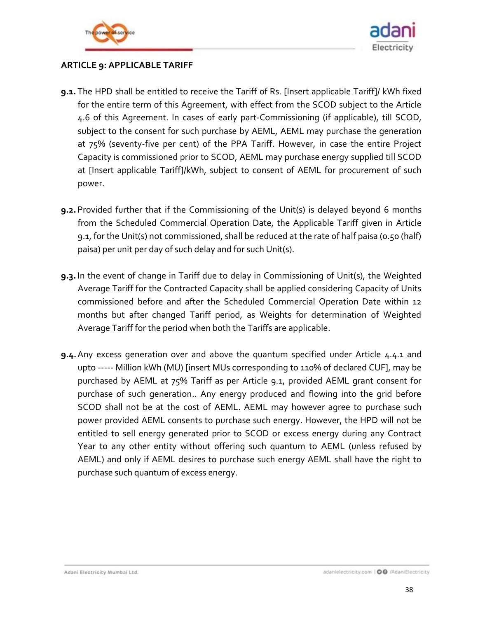



### <span id="page-37-0"></span>**ARTICLE 9: APPLICABLE TARIFF**

- <span id="page-37-1"></span>**9.1.** The HPD shall be entitled to receive the Tariff of Rs. [Insert applicable Tariff]/ kWh fixed for the entire term of this Agreement, with effect from the SCOD subject to the Article [4.6](#page-24-1) of this Agreement. In cases of early part-Commissioning (if applicable), till SCOD, subject to the consent for such purchase by AEML, AEML may purchase the generation at 75% (seventy-five per cent) of the PPA Tariff. However, in case the entire Project Capacity is commissioned prior to SCOD, AEML may purchase energy supplied till SCOD at [Insert applicable Tariff]/kWh, subject to consent of AEML for procurement of such power.
- **9.2.** Provided further that if the Commissioning of the Unit(s) is delayed beyond 6 months from the Scheduled Commercial Operation Date, the Applicable Tariff given in Article [9.1,](#page-37-1) for the Unit(s) not commissioned, shall be reduced at the rate of half paisa (0.50 (half) paisa) per unit per day of such delay and for such Unit(s).
- **9.3.** In the event of change in Tariff due to delay in Commissioning of Unit(s), the Weighted Average Tariff for the Contracted Capacity shall be applied considering Capacity of Units commissioned before and after the Scheduled Commercial Operation Date within 12 months but after changed Tariff period, as Weights for determination of Weighted Average Tariff for the period when both the Tariffs are applicable.
- **9.4.**Any excess generation over and above the quantum specified under Article [4.4.1](#page-21-0) and upto ----- Million kWh (MU) [insert MUs corresponding to 110% of declared CUF], may be purchased by AEML at 75% Tariff as per Article [9.1,](#page-37-1) provided AEML grant consent for purchase of such generation.. Any energy produced and flowing into the grid before SCOD shall not be at the cost of AEML. AEML may however agree to purchase such power provided AEML consents to purchase such energy. However, the HPD will not be entitled to sell energy generated prior to SCOD or excess energy during any Contract Year to any other entity without offering such quantum to AEML (unless refused by AEML) and only if AEML desires to purchase such energy AEML shall have the right to purchase such quantum of excess energy.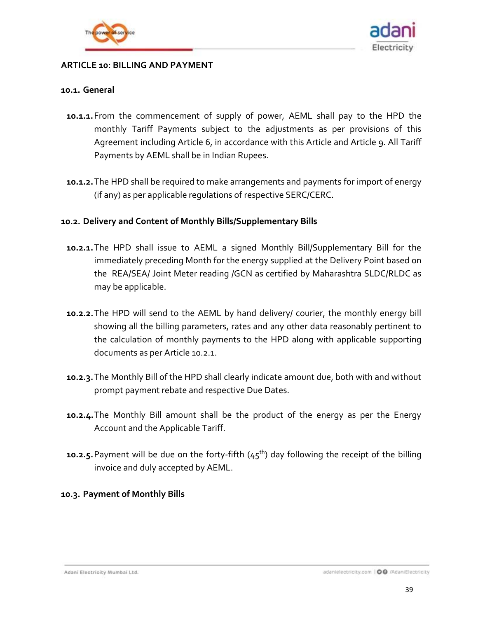



#### <span id="page-38-0"></span>**ARTICLE 10: BILLING AND PAYMENT**

#### **10.1. General**

- **10.1.1.**From the commencement of supply of power, AEML shall pay to the HPD the monthly Tariff Payments subject to the adjustments as per provisions of this Agreement including Article 6, in accordance with this Article and Article 9. All Tariff Payments by AEML shall be in Indian Rupees.
- **10.1.2.**The HPD shall be required to make arrangements and payments for import of energy (if any) as per applicable regulations of respective SERC/CERC.

### **10.2. Delivery and Content of Monthly Bills/Supplementary Bills**

- <span id="page-38-1"></span>**10.2.1.**The HPD shall issue to AEML a signed Monthly Bill/Supplementary Bill for the immediately preceding Month for the energy supplied at the Delivery Point based on the REA/SEA/ Joint Meter reading /GCN as certified by Maharashtra SLDC/RLDC as may be applicable.
- **10.2.2.**The HPD will send to the AEML by hand delivery/ courier, the monthly energy bill showing all the billing parameters, rates and any other data reasonably pertinent to the calculation of monthly payments to the HPD along with applicable supporting documents as per Article [10.2.1.](#page-38-1)
- **10.2.3.**The Monthly Bill of the HPD shall clearly indicate amount due, both with and without prompt payment rebate and respective Due Dates.
- **10.2.4.**The Monthly Bill amount shall be the product of the energy as per the Energy Account and the Applicable Tariff.
- **10.2.5.** Payment will be due on the forty-fifth (45<sup>th</sup>) day following the receipt of the billing invoice and duly accepted by AEML.

#### **10.3. Payment of Monthly Bills**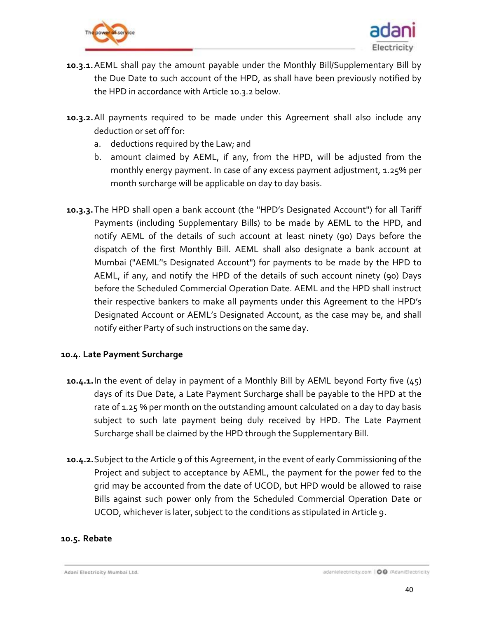



- **10.3.1.**AEML shall pay the amount payable under the Monthly Bill/Supplementary Bill by the Due Date to such account of the HPD, as shall have been previously notified by the HPD in accordance with Articl[e 10.3.2](#page-39-2) below.
- <span id="page-39-2"></span>**10.3.2.**All payments required to be made under this Agreement shall also include any deduction or set off for:
	- a. deductions required by the Law; and
	- b. amount claimed by AEML, if any, from the HPD, will be adjusted from the monthly energy payment. In case of any excess payment adjustment, 1.25% per month surcharge will be applicable on day to day basis.
- **10.3.3.**The HPD shall open a bank account (the "HPD's Designated Account") for all Tariff Payments (including Supplementary Bills) to be made by AEML to the HPD, and notify AEML of the details of such account at least ninety (90) Days before the dispatch of the first Monthly Bill. AEML shall also designate a bank account at Mumbai ("AEML''s Designated Account") for payments to be made by the HPD to AEML, if any, and notify the HPD of the details of such account ninety (90) Days before the Scheduled Commercial Operation Date. AEML and the HPD shall instruct their respective bankers to make all payments under this Agreement to the HPD's Designated Account or AEML's Designated Account, as the case may be, and shall notify either Party of such instructions on the same day.

### <span id="page-39-0"></span>**10.4. Late Payment Surcharge**

- **10.4.1.**In the event of delay in payment of a Monthly Bill by AEML beyond Forty five (45) days of its Due Date, a Late Payment Surcharge shall be payable to the HPD at the rate of 1.25 % per month on the outstanding amount calculated on a day to day basis subject to such late payment being duly received by HPD. The Late Payment Surcharge shall be claimed by the HPD through the Supplementary Bill.
- **10.4.2.**Subject to the Article 9 of this Agreement, in the event of early Commissioning of the Project and subject to acceptance by AEML, the payment for the power fed to the grid may be accounted from the date of UCOD, but HPD would be allowed to raise Bills against such power only from the Scheduled Commercial Operation Date or UCOD, whichever is later, subject to the conditions as stipulated in Article 9.

#### <span id="page-39-1"></span>**10.5. Rebate**

Adani Electricity Mumbai Ltd.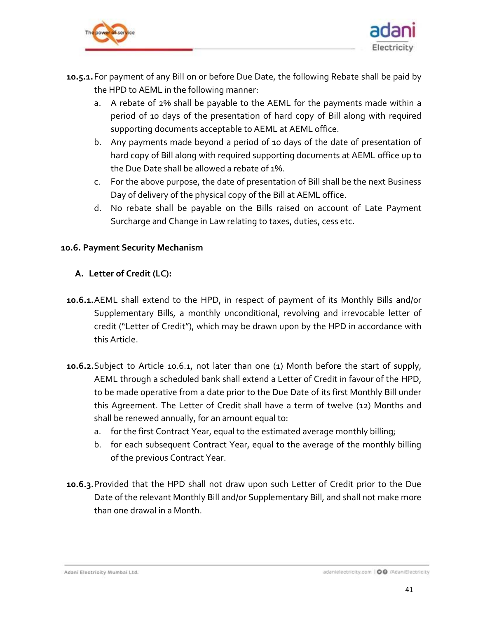



- **10.5.1.**For payment of any Bill on or before Due Date, the following Rebate shall be paid by the HPD to AEML in the following manner:
	- a. A rebate of 2% shall be payable to the AEML for the payments made within a period of 10 days of the presentation of hard copy of Bill along with required supporting documents acceptable to AEML at AEML office.
	- b. Any payments made beyond a period of 10 days of the date of presentation of hard copy of Bill along with required supporting documents at AEML office up to the Due Date shall be allowed a rebate of 1%.
	- c. For the above purpose, the date of presentation of Bill shall be the next Business Day of delivery of the physical copy of the Bill at AEML office.
	- d. No rebate shall be payable on the Bills raised on account of Late Payment Surcharge and Change in Law relating to taxes, duties, cess etc.

### <span id="page-40-0"></span>**10.6. Payment Security Mechanism**

### **A. Letter of Credit (LC):**

- <span id="page-40-1"></span>**10.6.1.**AEML shall extend to the HPD, in respect of payment of its Monthly Bills and/or Supplementary Bills, a monthly unconditional, revolving and irrevocable letter of credit ("Letter of Credit"), which may be drawn upon by the HPD in accordance with this Article.
- <span id="page-40-2"></span>**10.6.2.**Subject to Article [10.6.1,](#page-40-1) not later than one (1) Month before the start of supply, AEML through a scheduled bank shall extend a Letter of Credit in favour of the HPD, to be made operative from a date prior to the Due Date of its first Monthly Bill under this Agreement. The Letter of Credit shall have a term of twelve (12) Months and shall be renewed annually, for an amount equal to:
	- a. for the first Contract Year, equal to the estimated average monthly billing;
	- b. for each subsequent Contract Year, equal to the average of the monthly billing of the previous Contract Year.
- <span id="page-40-3"></span>**10.6.3.**Provided that the HPD shall not draw upon such Letter of Credit prior to the Due Date of the relevant Monthly Bill and/or Supplementary Bill, and shall not make more than one drawal in a Month.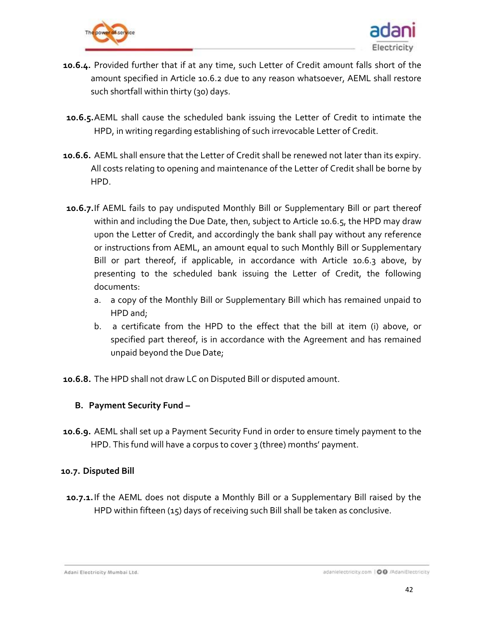

<span id="page-41-0"></span>

- **10.6.4.** Provided further that if at any time, such Letter of Credit amount falls short of the amount specified in Article [10.6.2](#page-40-2) due to any reason whatsoever, AEML shall restore such shortfall within thirty (30) days.
- **10.6.5.**AEML shall cause the scheduled bank issuing the Letter of Credit to intimate the HPD, in writing regarding establishing of such irrevocable Letter of Credit.
- **10.6.6.** AEML shall ensure that the Letter of Credit shall be renewed not later than its expiry. All costs relating to opening and maintenance of the Letter of Credit shall be borne by HPD.
- **10.6.7.**If AEML fails to pay undisputed Monthly Bill or Supplementary Bill or part thereof within and including the Due Date, then, subject to Articl[e 10.6.5,](#page-41-0) the HPD may draw upon the Letter of Credit, and accordingly the bank shall pay without any reference or instructions from AEML, an amount equal to such Monthly Bill or Supplementary Bill or part thereof, if applicable, in accordance with Article [10.6.3](#page-40-3) above, by presenting to the scheduled bank issuing the Letter of Credit, the following documents:
	- a. a copy of the Monthly Bill or Supplementary Bill which has remained unpaid to HPD and;
	- b. a certificate from the HPD to the effect that the bill at item (i) above, or specified part thereof, is in accordance with the Agreement and has remained unpaid beyond the Due Date;
- **10.6.8.** The HPD shall not draw LC on Disputed Bill or disputed amount.

### **B. Payment Security Fund –**

**10.6.9.** AEML shall set up a Payment Security Fund in order to ensure timely payment to the HPD. This fund will have a corpus to cover 3 (three) months' payment.

### <span id="page-41-1"></span>**10.7. Disputed Bill**

**10.7.1.**If the AEML does not dispute a Monthly Bill or a Supplementary Bill raised by the HPD within fifteen (15) days of receiving such Bill shall be taken as conclusive.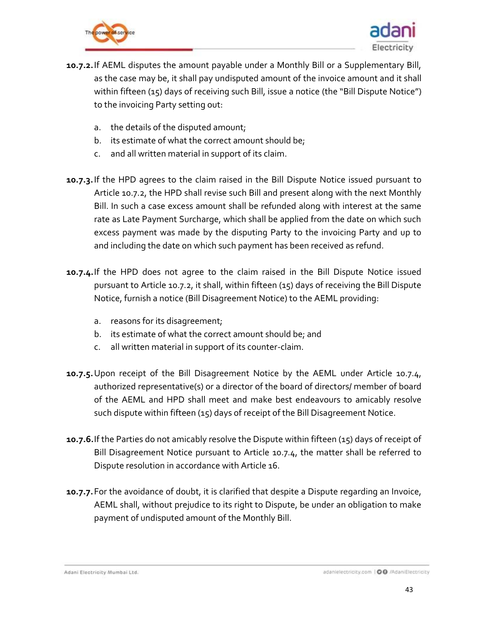



- <span id="page-42-0"></span>**10.7.2.**If AEML disputes the amount payable under a Monthly Bill or a Supplementary Bill, as the case may be, it shall pay undisputed amount of the invoice amount and it shall within fifteen (15) days of receiving such Bill, issue a notice (the "Bill Dispute Notice") to the invoicing Party setting out:
	- a. the details of the disputed amount;
	- b. its estimate of what the correct amount should be;
	- c. and all written material in support of its claim.
- **10.7.3.**If the HPD agrees to the claim raised in the Bill Dispute Notice issued pursuant to Article [10.7.2,](#page-42-0) the HPD shall revise such Bill and present along with the next Monthly Bill. In such a case excess amount shall be refunded along with interest at the same rate as Late Payment Surcharge, which shall be applied from the date on which such excess payment was made by the disputing Party to the invoicing Party and up to and including the date on which such payment has been received as refund.
- <span id="page-42-1"></span>**10.7.4.**If the HPD does not agree to the claim raised in the Bill Dispute Notice issued pursuant to Articl[e 10.7.2,](#page-42-0) it shall, within fifteen (15) days of receiving the Bill Dispute Notice, furnish a notice (Bill Disagreement Notice) to the AEML providing:
	- a. reasons for its disagreement;
	- b. its estimate of what the correct amount should be; and
	- c. all written material in support of its counter-claim.
- **10.7.5.**Upon receipt of the Bill Disagreement Notice by the AEML under Article [10.7.4,](#page-42-1) authorized representative(s) or a director of the board of directors/ member of board of the AEML and HPD shall meet and make best endeavours to amicably resolve such dispute within fifteen (15) days of receipt of the Bill Disagreement Notice.
- **10.7.6.**If the Parties do not amicably resolve the Dispute within fifteen (15) days of receipt of Bill Disagreement Notice pursuant to Article [10.7.4,](#page-42-1) the matter shall be referred to Dispute resolution in accordance with Article 16.
- **10.7.7.**For the avoidance of doubt, it is clarified that despite a Dispute regarding an Invoice, AEML shall, without prejudice to its right to Dispute, be under an obligation to make payment of undisputed amount of the Monthly Bill.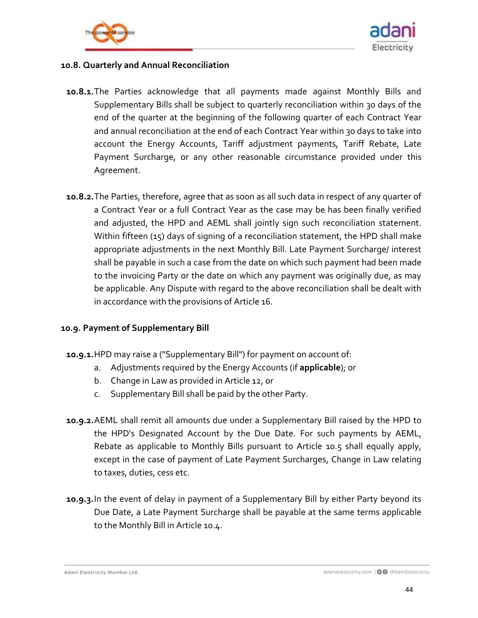



### **10.8. Quarterly and Annual Reconciliation**

- **10.8.1.**The Parties acknowledge that all payments made against Monthly Bills and Supplementary Bills shall be subject to quarterly reconciliation within 30 days of the end of the quarter at the beginning of the following quarter of each Contract Year and annual reconciliation at the end of each Contract Year within 30 days to take into account the Energy Accounts, Tariff adjustment payments, Tariff Rebate, Late Payment Surcharge, or any other reasonable circumstance provided under this Agreement.
- **10.8.2.**The Parties, therefore, agree that as soon as all such data in respect of any quarter of a Contract Year or a full Contract Year as the case may be has been finally verified and adjusted, the HPD and AEML shall jointly sign such reconciliation statement. Within fifteen (15) days of signing of a reconciliation statement, the HPD shall make appropriate adjustments in the next Monthly Bill. Late Payment Surcharge/ interest shall be payable in such a case from the date on which such payment had been made to the invoicing Party or the date on which any payment was originally due, as may be applicable. Any Dispute with regard to the above reconciliation shall be dealt with in accordance with the provisions of Article 16.

### **10.9. Payment of Supplementary Bill**

- **10.9.1.**HPD may raise a ("Supplementary Bill") for payment on account of:
	- a. Adjustments required by the Energy Accounts (if **applicable**); or
	- b. Change in Law as provided in Article 12, or
	- c. Supplementary Bill shall be paid by the other Party.
- **10.9.2.**AEML shall remit all amounts due under a Supplementary Bill raised by the HPD to the HPD's Designated Account by the Due Date. For such payments by AEML, Rebate as applicable to Monthly Bills pursuant to Article [10.5](#page-39-1) shall equally apply, except in the case of payment of Late Payment Surcharges, Change in Law relating to taxes, duties, cess etc.
- **10.9.3.**In the event of delay in payment of a Supplementary Bill by either Party beyond its Due Date, a Late Payment Surcharge shall be payable at the same terms applicable to the Monthly Bill in Article [10.4.](#page-39-0)

Adani Electricity Mumbai Ltd.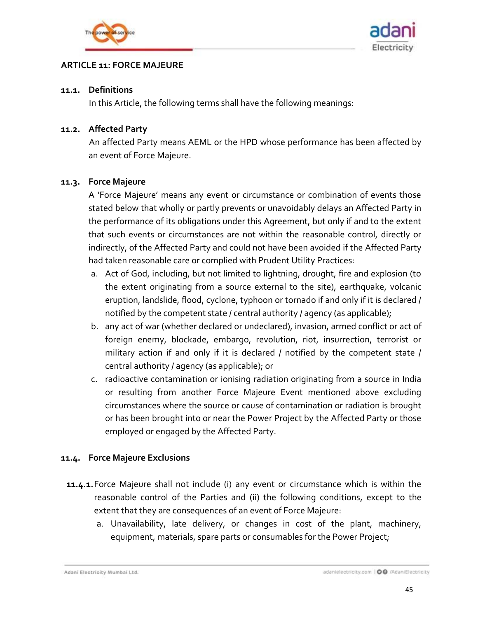



### <span id="page-44-0"></span>**ARTICLE 11: FORCE MAJEURE**

#### **11.1. Definitions**

In this Article, the following terms shall have the following meanings:

### **11.2. Affected Party**

An affected Party means AEML or the HPD whose performance has been affected by an event of Force Majeure.

### <span id="page-44-1"></span>**11.3. Force Majeure**

A 'Force Majeure' means any event or circumstance or combination of events those stated below that wholly or partly prevents or unavoidably delays an Affected Party in the performance of its obligations under this Agreement, but only if and to the extent that such events or circumstances are not within the reasonable control, directly or indirectly, of the Affected Party and could not have been avoided if the Affected Party had taken reasonable care or complied with Prudent Utility Practices:

- a. Act of God, including, but not limited to lightning, drought, fire and explosion (to the extent originating from a source external to the site), earthquake, volcanic eruption, landslide, flood, cyclone, typhoon or tornado if and only if it is declared / notified by the competent state / central authority / agency (as applicable);
- b. any act of war (whether declared or undeclared), invasion, armed conflict or act of foreign enemy, blockade, embargo, revolution, riot, insurrection, terrorist or military action if and only if it is declared / notified by the competent state / central authority / agency (as applicable); or
- c. radioactive contamination or ionising radiation originating from a source in India or resulting from another Force Majeure Event mentioned above excluding circumstances where the source or cause of contamination or radiation is brought or has been brought into or near the Power Project by the Affected Party or those employed or engaged by the Affected Party.

## **11.4. Force Majeure Exclusions**

- **11.4.1.**Force Majeure shall not include (i) any event or circumstance which is within the reasonable control of the Parties and (ii) the following conditions, except to the extent that they are consequences of an event of Force Majeure:
	- a. Unavailability, late delivery, or changes in cost of the plant, machinery, equipment, materials, spare parts or consumables for the Power Project;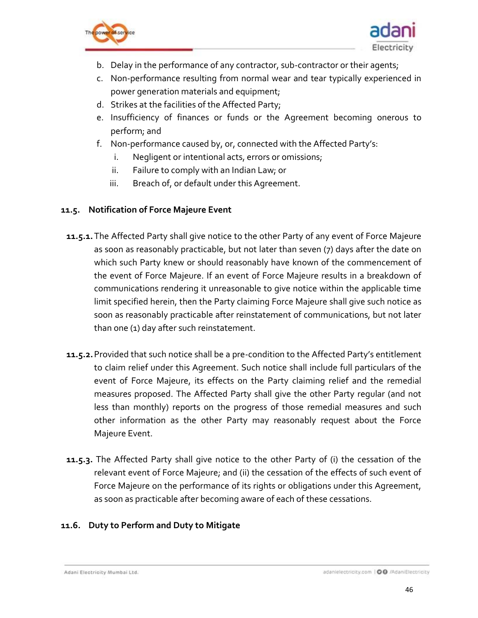



- b. Delay in the performance of any contractor, sub-contractor or their agents;
- c. Non-performance resulting from normal wear and tear typically experienced in power generation materials and equipment;
- d. Strikes at the facilities of the Affected Party;
- e. Insufficiency of finances or funds or the Agreement becoming onerous to perform; and
- f. Non-performance caused by, or, connected with the Affected Party's:
	- i. Negligent or intentional acts, errors or omissions;
	- ii. Failure to comply with an Indian Law; or
	- iii. Breach of, or default under this Agreement.

#### **11.5. Notification of Force Majeure Event**

- **11.5.1.**The Affected Party shall give notice to the other Party of any event of Force Majeure as soon as reasonably practicable, but not later than seven (7) days after the date on which such Party knew or should reasonably have known of the commencement of the event of Force Majeure. If an event of Force Majeure results in a breakdown of communications rendering it unreasonable to give notice within the applicable time limit specified herein, then the Party claiming Force Majeure shall give such notice as soon as reasonably practicable after reinstatement of communications, but not later than one (1) day after such reinstatement.
- **11.5.2.**Provided that such notice shall be a pre-condition to the Affected Party's entitlement to claim relief under this Agreement. Such notice shall include full particulars of the event of Force Majeure, its effects on the Party claiming relief and the remedial measures proposed. The Affected Party shall give the other Party regular (and not less than monthly) reports on the progress of those remedial measures and such other information as the other Party may reasonably request about the Force Majeure Event.
- **11.5.3.** The Affected Party shall give notice to the other Party of (i) the cessation of the relevant event of Force Majeure; and (ii) the cessation of the effects of such event of Force Majeure on the performance of its rights or obligations under this Agreement, as soon as practicable after becoming aware of each of these cessations.

### **11.6. Duty to Perform and Duty to Mitigate**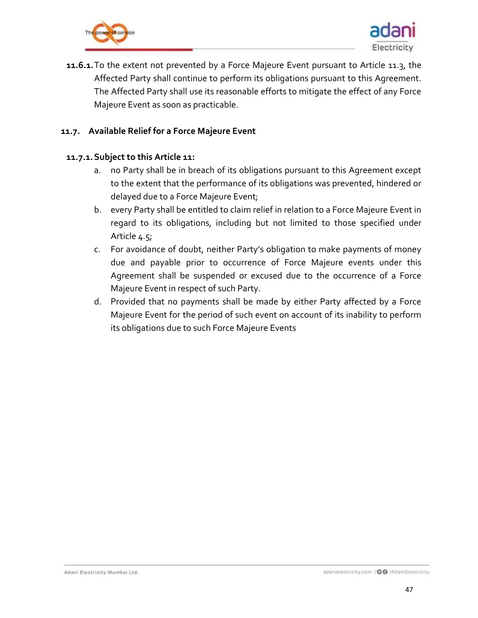



**11.6.1.**To the extent not prevented by a Force Majeure Event pursuant to Article [11.3,](#page-44-1) the Affected Party shall continue to perform its obligations pursuant to this Agreement. The Affected Party shall use its reasonable efforts to mitigate the effect of any Force Majeure Event as soon as practicable.

### **11.7. Available Relief for a Force Majeure Event**

#### **11.7.1.Subject to this Article 11:**

- a. no Party shall be in breach of its obligations pursuant to this Agreement except to the extent that the performance of its obligations was prevented, hindered or delayed due to a Force Majeure Event;
- b. every Party shall be entitled to claim relief in relation to a Force Majeure Event in regard to its obligations, including but not limited to those specified under Article [4.5;](#page-23-0)
- c. For avoidance of doubt, neither Party's obligation to make payments of money due and payable prior to occurrence of Force Majeure events under this Agreement shall be suspended or excused due to the occurrence of a Force Majeure Event in respect of such Party.
- d. Provided that no payments shall be made by either Party affected by a Force Majeure Event for the period of such event on account of its inability to perform its obligations due to such Force Majeure Events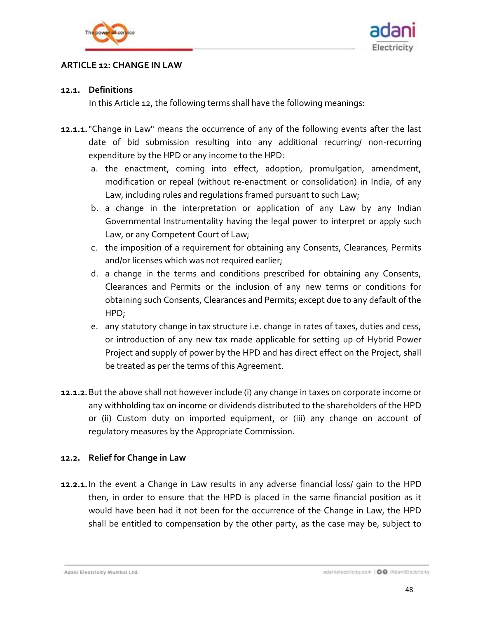



#### <span id="page-47-0"></span>**ARTICLE 12: CHANGE IN LAW**

#### **12.1. Definitions**

In this Article 12, the following terms shall have the following meanings:

- <span id="page-47-1"></span>**12.1.1.**"Change in Law" means the occurrence of any of the following events after the last date of bid submission resulting into any additional recurring/ non-recurring expenditure by the HPD or any income to the HPD:
	- a. the enactment, coming into effect, adoption, promulgation, amendment, modification or repeal (without re-enactment or consolidation) in India, of any Law, including rules and regulations framed pursuant to such Law;
	- b. a change in the interpretation or application of any Law by any Indian Governmental Instrumentality having the legal power to interpret or apply such Law, or any Competent Court of Law;
	- c. the imposition of a requirement for obtaining any Consents, Clearances, Permits and/or licenses which was not required earlier;
	- d. a change in the terms and conditions prescribed for obtaining any Consents, Clearances and Permits or the inclusion of any new terms or conditions for obtaining such Consents, Clearances and Permits; except due to any default of the HPD;
	- e. any statutory change in tax structure i.e. change in rates of taxes, duties and cess, or introduction of any new tax made applicable for setting up of Hybrid Power Project and supply of power by the HPD and has direct effect on the Project, shall be treated as per the terms of this Agreement.
- **12.1.2.**But the above shall not however include (i) any change in taxes on corporate income or any withholding tax on income or dividends distributed to the shareholders of the HPD or (ii) Custom duty on imported equipment, or (iii) any change on account of regulatory measures by the Appropriate Commission.

### **12.2. Relief for Change in Law**

**12.2.1.**In the event a Change in Law results in any adverse financial loss/ gain to the HPD then, in order to ensure that the HPD is placed in the same financial position as it would have been had it not been for the occurrence of the Change in Law, the HPD shall be entitled to compensation by the other party, as the case may be, subject to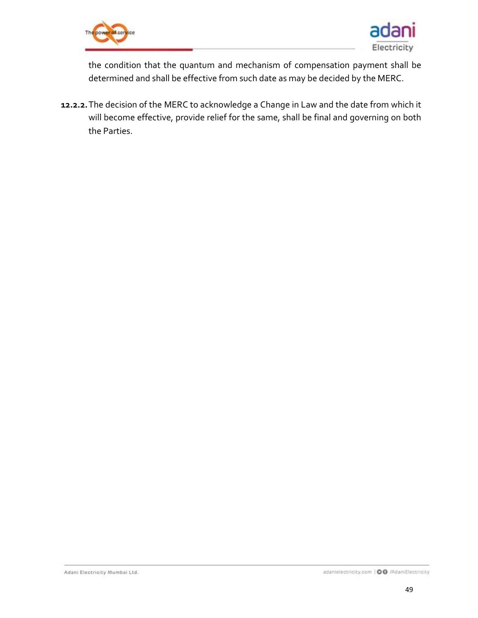



the condition that the quantum and mechanism of compensation payment shall be determined and shall be effective from such date as may be decided by the MERC.

**12.2.2.**The decision of the MERC to acknowledge a Change in Law and the date from which it will become effective, provide relief for the same, shall be final and governing on both the Parties.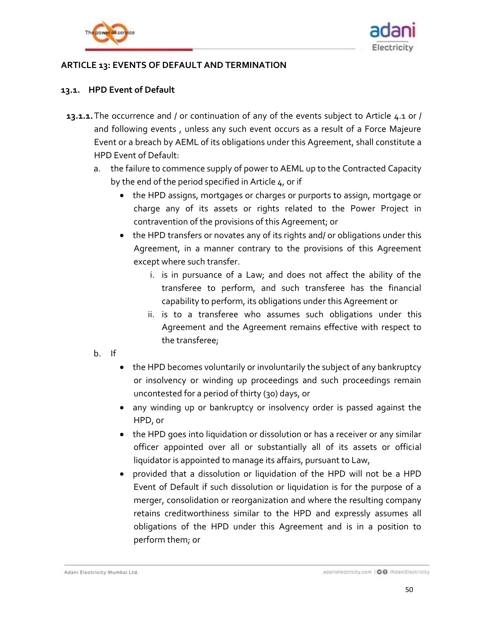



### <span id="page-49-0"></span>**ARTICLE 13: EVENTS OF DEFAULT AND TERMINATION**

### <span id="page-49-1"></span>**13.1. HPD Event of Default**

- **13.1.1.**The occurrence and / or continuation of any of the events subject to Article [4.1](#page-19-1) or / and following events , unless any such event occurs as a result of a Force Majeure Event or a breach by AEML of its obligations under this Agreement, shall constitute a HPD Event of Default:
	- a. the failure to commence supply of power to AEML up to the Contracted Capacity by the end of the period specified in Article 4, or if
		- the HPD assigns, mortgages or charges or purports to assign, mortgage or charge any of its assets or rights related to the Power Project in contravention of the provisions of this Agreement; or
		- the HPD transfers or novates any of its rights and/ or obligations under this Agreement, in a manner contrary to the provisions of this Agreement except where such transfer.
			- i. is in pursuance of a Law; and does not affect the ability of the transferee to perform, and such transferee has the financial capability to perform, its obligations under this Agreement or
			- ii. is to a transferee who assumes such obligations under this Agreement and the Agreement remains effective with respect to the transferee;
	- b. If
- the HPD becomes voluntarily or involuntarily the subject of any bankruptcy or insolvency or winding up proceedings and such proceedings remain uncontested for a period of thirty (30) days, or
- any winding up or bankruptcy or insolvency order is passed against the HPD, or
- the HPD goes into liquidation or dissolution or has a receiver or any similar officer appointed over all or substantially all of its assets or official liquidator is appointed to manage its affairs, pursuant to Law,
- provided that a dissolution or liquidation of the HPD will not be a HPD Event of Default if such dissolution or liquidation is for the purpose of a merger, consolidation or reorganization and where the resulting company retains creditworthiness similar to the HPD and expressly assumes all obligations of the HPD under this Agreement and is in a position to perform them; or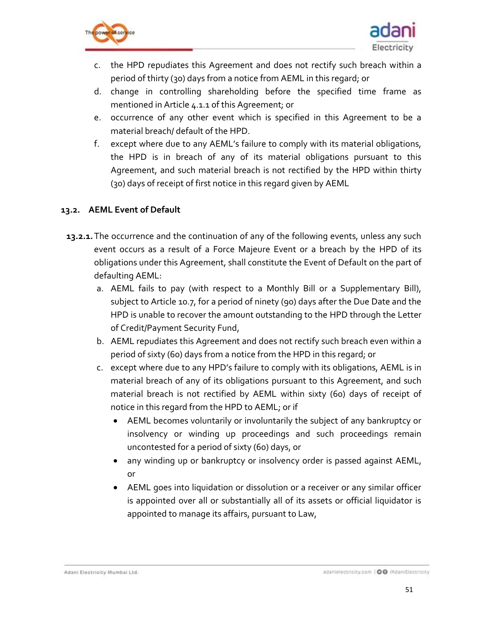



- c. the HPD repudiates this Agreement and does not rectify such breach within a period of thirty (30) days from a notice from AEML in this regard; or
- d. change in controlling shareholding before the specified time frame as mentioned in Article [4.1.1](#page-19-2) of this Agreement; or
- e. occurrence of any other event which is specified in this Agreement to be a material breach/ default of the HPD.
- f. except where due to any AEML's failure to comply with its material obligations, the HPD is in breach of any of its material obligations pursuant to this Agreement, and such material breach is not rectified by the HPD within thirty (30) days of receipt of first notice in this regard given by AEML

### <span id="page-50-0"></span>**13.2. AEML Event of Default**

- **13.2.1.**The occurrence and the continuation of any of the following events, unless any such event occurs as a result of a Force Majeure Event or a breach by the HPD of its obligations under this Agreement, shall constitute the Event of Default on the part of defaulting AEML:
	- a. AEML fails to pay (with respect to a Monthly Bill or a Supplementary Bill), subject to Article [10.7,](#page-41-1) for a period of ninety (90) days after the Due Date and the HPD is unable to recover the amount outstanding to the HPD through the Letter of Credit/Payment Security Fund,
	- b. AEML repudiates this Agreement and does not rectify such breach even within a period of sixty (60) days from a notice from the HPD in this regard; or
	- c. except where due to any HPD's failure to comply with its obligations, AEML is in material breach of any of its obligations pursuant to this Agreement, and such material breach is not rectified by AEML within sixty (60) days of receipt of notice in this regard from the HPD to AEML; or if
		- AEML becomes voluntarily or involuntarily the subject of any bankruptcy or insolvency or winding up proceedings and such proceedings remain uncontested for a period of sixty (60) days, or
		- any winding up or bankruptcy or insolvency order is passed against AEML, or
		- AEML goes into liquidation or dissolution or a receiver or any similar officer is appointed over all or substantially all of its assets or official liquidator is appointed to manage its affairs, pursuant to Law,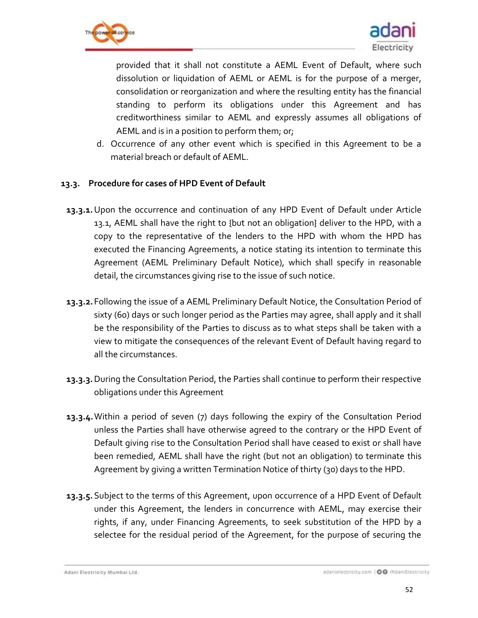



provided that it shall not constitute a AEML Event of Default, where such dissolution or liquidation of AEML or AEML is for the purpose of a merger, consolidation or reorganization and where the resulting entity has the financial standing to perform its obligations under this Agreement and has creditworthiness similar to AEML and expressly assumes all obligations of AEML and is in a position to perform them; or;

d. Occurrence of any other event which is specified in this Agreement to be a material breach or default of AEML.

### **13.3. Procedure for cases of HPD Event of Default**

- **13.3.1.**Upon the occurrence and continuation of any HPD Event of Default under Article [13.1,](#page-49-1) AEML shall have the right to {but not an obligation} deliver to the HPD, with a copy to the representative of the lenders to the HPD with whom the HPD has executed the Financing Agreements, a notice stating its intention to terminate this Agreement (AEML Preliminary Default Notice), which shall specify in reasonable detail, the circumstances giving rise to the issue of such notice.
- <span id="page-51-0"></span>**13.3.2.**Following the issue of a AEML Preliminary Default Notice, the Consultation Period of sixty (60) days or such longer period as the Parties may agree, shall apply and it shall be the responsibility of the Parties to discuss as to what steps shall be taken with a view to mitigate the consequences of the relevant Event of Default having regard to all the circumstances.
- **13.3.3.**During the Consultation Period, the Parties shall continue to perform their respective obligations under this Agreement
- **13.3.4.**Within a period of seven (7) days following the expiry of the Consultation Period unless the Parties shall have otherwise agreed to the contrary or the HPD Event of Default giving rise to the Consultation Period shall have ceased to exist or shall have been remedied, AEML shall have the right (but not an obligation) to terminate this Agreement by giving a written Termination Notice of thirty (30) days to the HPD.
- <span id="page-51-1"></span>**13.3.5.**Subject to the terms of this Agreement, upon occurrence of a HPD Event of Default under this Agreement, the lenders in concurrence with AEML, may exercise their rights, if any, under Financing Agreements, to seek substitution of the HPD by a selectee for the residual period of the Agreement, for the purpose of securing the

Adani Electricity Mumbai Ltd.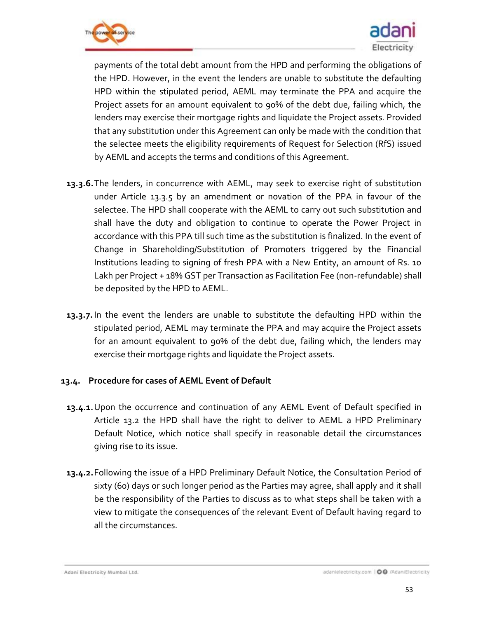



payments of the total debt amount from the HPD and performing the obligations of the HPD. However, in the event the lenders are unable to substitute the defaulting HPD within the stipulated period, AEML may terminate the PPA and acquire the Project assets for an amount equivalent to 90% of the debt due, failing which, the lenders may exercise their mortgage rights and liquidate the Project assets. Provided that any substitution under this Agreement can only be made with the condition that the selectee meets the eligibility requirements of Request for Selection (RfS) issued by AEML and accepts the terms and conditions of this Agreement.

- **13.3.6.**The lenders, in concurrence with AEML, may seek to exercise right of substitution under Article [13.3.5](#page-51-1) by an amendment or novation of the PPA in favour of the selectee. The HPD shall cooperate with the AEML to carry out such substitution and shall have the duty and obligation to continue to operate the Power Project in accordance with this PPA till such time as the substitution is finalized. In the event of Change in Shareholding/Substitution of Promoters triggered by the Financial Institutions leading to signing of fresh PPA with a New Entity, an amount of Rs. 10 Lakh per Project + 18% GST per Transaction as Facilitation Fee (non-refundable) shall be deposited by the HPD to AEML.
- **13.3.7.**In the event the lenders are unable to substitute the defaulting HPD within the stipulated period, AEML may terminate the PPA and may acquire the Project assets for an amount equivalent to 90% of the debt due, failing which, the lenders may exercise their mortgage rights and liquidate the Project assets.

### **13.4. Procedure for cases of AEML Event of Default**

- **13.4.1.**Upon the occurrence and continuation of any AEML Event of Default specified in Article [13.2](#page-50-0) the HPD shall have the right to deliver to AEML a HPD Preliminary Default Notice, which notice shall specify in reasonable detail the circumstances giving rise to its issue.
- <span id="page-52-0"></span>**13.4.2.**Following the issue of a HPD Preliminary Default Notice, the Consultation Period of sixty (60) days or such longer period as the Parties may agree, shall apply and it shall be the responsibility of the Parties to discuss as to what steps shall be taken with a view to mitigate the consequences of the relevant Event of Default having regard to all the circumstances.

Adani Electricity Mumbai Ltd.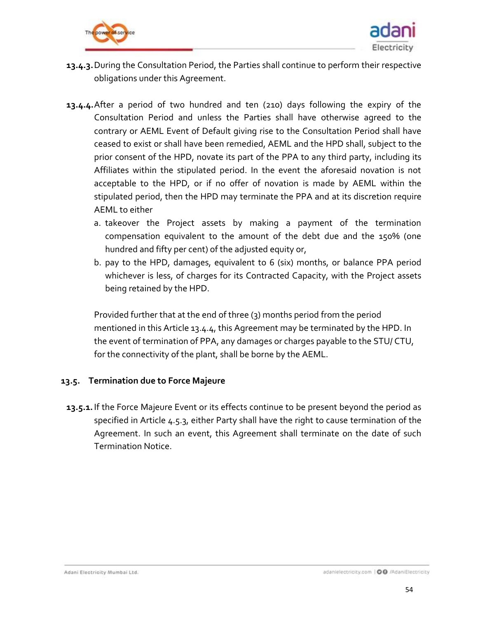



- **13.4.3.**During the Consultation Period, the Parties shall continue to perform their respective obligations under this Agreement.
- <span id="page-53-1"></span>**13.4.4.**After a period of two hundred and ten (210) days following the expiry of the Consultation Period and unless the Parties shall have otherwise agreed to the contrary or AEML Event of Default giving rise to the Consultation Period shall have ceased to exist or shall have been remedied, AEML and the HPD shall, subject to the prior consent of the HPD, novate its part of the PPA to any third party, including its Affiliates within the stipulated period. In the event the aforesaid novation is not acceptable to the HPD, or if no offer of novation is made by AEML within the stipulated period, then the HPD may terminate the PPA and at its discretion require AEML to either
	- a. takeover the Project assets by making a payment of the termination compensation equivalent to the amount of the debt due and the 150% (one hundred and fifty per cent) of the adjusted equity or,
	- b. pay to the HPD, damages, equivalent to 6 (six) months, or balance PPA period whichever is less, of charges for its Contracted Capacity, with the Project assets being retained by the HPD.

Provided further that at the end of three (3) months period from the period mentioned in this Articl[e 13.4.4,](#page-53-1) this Agreement may be terminated by the HPD. In the event of termination of PPA, any damages or charges payable to the STU/ CTU, for the connectivity of the plant, shall be borne by the AEML.

### <span id="page-53-0"></span>**13.5. Termination due to Force Majeure**

**13.5.1.**If the Force Majeure Event or its effects continue to be present beyond the period as specified in Article [4.5.3,](#page-23-2) either Party shall have the right to cause termination of the Agreement. In such an event, this Agreement shall terminate on the date of such Termination Notice.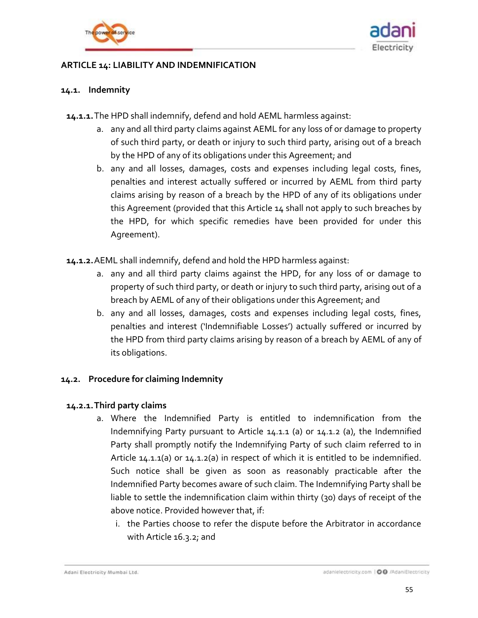



### <span id="page-54-0"></span>**ARTICLE 14: LIABILITY AND INDEMNIFICATION**

### **14.1. Indemnity**

<span id="page-54-1"></span>**14.1.1.**The HPD shall indemnify, defend and hold AEML harmless against:

- a. any and all third party claims against AEML for any loss of or damage to property of such third party, or death or injury to such third party, arising out of a breach by the HPD of any of its obligations under this Agreement; and
- b. any and all losses, damages, costs and expenses including legal costs, fines, penalties and interest actually suffered or incurred by AEML from third party claims arising by reason of a breach by the HPD of any of its obligations under this Agreement (provided that this Article 14 shall not apply to such breaches by the HPD, for which specific remedies have been provided for under this Agreement).
- <span id="page-54-2"></span>**14.1.2.**AEML shall indemnify, defend and hold the HPD harmless against:
	- a. any and all third party claims against the HPD, for any loss of or damage to property of such third party, or death or injury to such third party, arising out of a breach by AEML of any of their obligations under this Agreement; and
	- b. any and all losses, damages, costs and expenses including legal costs, fines, penalties and interest ('Indemnifiable Losses') actually suffered or incurred by the HPD from third party claims arising by reason of a breach by AEML of any of its obligations.

### **14.2. Procedure for claiming Indemnity**

### **14.2.1.Third party claims**

- a. Where the Indemnified Party is entitled to indemnification from the Indemnifying Party pursuant to Article [14.1.1](#page-54-1) (a) or [14.1.2](#page-54-2) (a), the Indemnified Party shall promptly notify the Indemnifying Party of such claim referred to in Article 14.1.1(a) or 14.1.2(a) in respect of which it is entitled to be indemnified. Such notice shall be given as soon as reasonably practicable after the Indemnified Party becomes aware of such claim. The Indemnifying Party shall be liable to settle the indemnification claim within thirty (30) days of receipt of the above notice. Provided however that, if:
	- i. the Parties choose to refer the dispute before the Arbitrator in accordance with Articl[e 16.3.2;](#page-60-0) and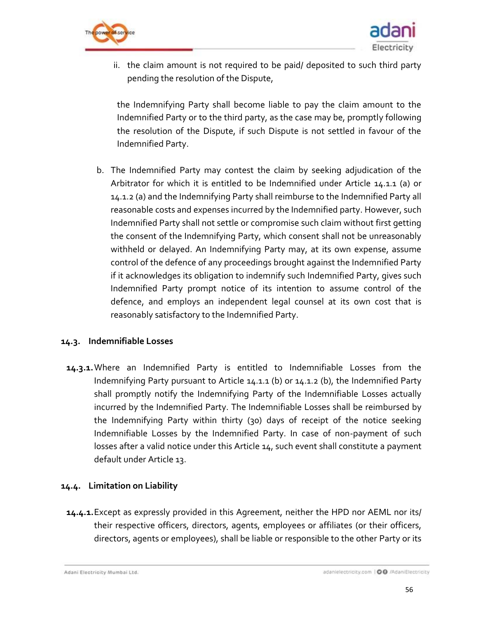



ii. the claim amount is not required to be paid/ deposited to such third party pending the resolution of the Dispute,

the Indemnifying Party shall become liable to pay the claim amount to the Indemnified Party or to the third party, as the case may be, promptly following the resolution of the Dispute, if such Dispute is not settled in favour of the Indemnified Party.

b. The Indemnified Party may contest the claim by seeking adjudication of the Arbitrator for which it is entitled to be Indemnified under Article [14.1.1](#page-54-1) (a) or [14.1.2](#page-54-2) (a) and the Indemnifying Party shall reimburse to the Indemnified Party all reasonable costs and expenses incurred by the Indemnified party. However, such Indemnified Party shall not settle or compromise such claim without first getting the consent of the Indemnifying Party, which consent shall not be unreasonably withheld or delayed. An Indemnifying Party may, at its own expense, assume control of the defence of any proceedings brought against the Indemnified Party if it acknowledges its obligation to indemnify such Indemnified Party, gives such Indemnified Party prompt notice of its intention to assume control of the defence, and employs an independent legal counsel at its own cost that is reasonably satisfactory to the Indemnified Party.

### **14.3. Indemnifiable Losses**

**14.3.1.**Where an Indemnified Party is entitled to Indemnifiable Losses from the Indemnifying Party pursuant to Article [14.1.1](#page-54-1) (b) or [14.1.2](#page-54-2) (b), the Indemnified Party shall promptly notify the Indemnifying Party of the Indemnifiable Losses actually incurred by the Indemnified Party. The Indemnifiable Losses shall be reimbursed by the Indemnifying Party within thirty (30) days of receipt of the notice seeking Indemnifiable Losses by the Indemnified Party. In case of non-payment of such losses after a valid notice under this Article 14, such event shall constitute a payment default under Article 13.

## **14.4. Limitation on Liability**

**14.4.1.**Except as expressly provided in this Agreement, neither the HPD nor AEML nor its/ their respective officers, directors, agents, employees or affiliates (or their officers, directors, agents or employees), shall be liable or responsible to the other Party or its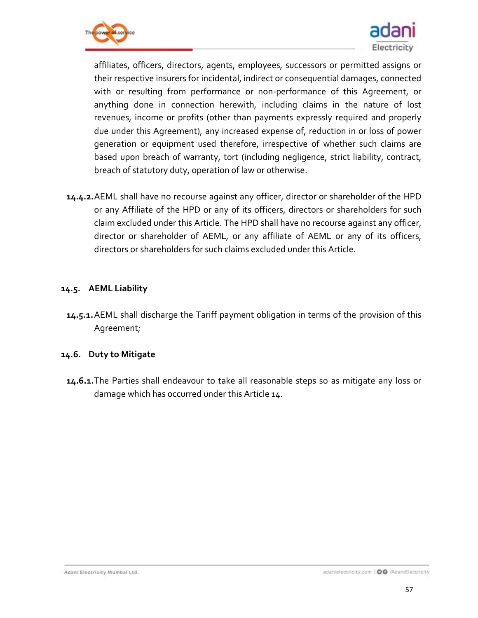



affiliates, officers, directors, agents, employees, successors or permitted assigns or their respective insurers for incidental, indirect or consequential damages, connected with or resulting from performance or non-performance of this Agreement, or anything done in connection herewith, including claims in the nature of lost revenues, income or profits (other than payments expressly required and properly due under this Agreement), any increased expense of, reduction in or loss of power generation or equipment used therefore, irrespective of whether such claims are based upon breach of warranty, tort (including negligence, strict liability, contract, breach of statutory duty, operation of law or otherwise.

**14.4.2.**AEML shall have no recourse against any officer, director or shareholder of the HPD or any Affiliate of the HPD or any of its officers, directors or shareholders for such claim excluded under this Article. The HPD shall have no recourse against any officer, director or shareholder of AEML, or any affiliate of AEML or any of its officers, directors or shareholders for such claims excluded under this Article.

#### **14.5. AEML Liability**

**14.5.1.**AEML shall discharge the Tariff payment obligation in terms of the provision of this Agreement;

### **14.6. Duty to Mitigate**

**14.6.1.**The Parties shall endeavour to take all reasonable steps so as mitigate any loss or damage which has occurred under this Article 14.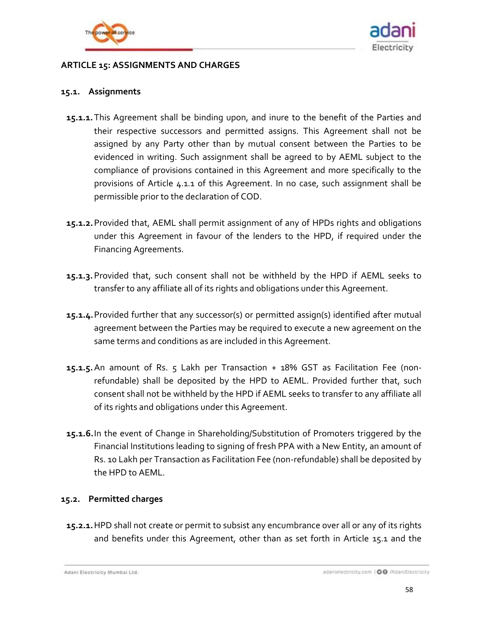



### <span id="page-57-0"></span>**ARTICLE 15: ASSIGNMENTS AND CHARGES**

#### <span id="page-57-1"></span>**15.1. Assignments**

- **15.1.1.**This Agreement shall be binding upon, and inure to the benefit of the Parties and their respective successors and permitted assigns. This Agreement shall not be assigned by any Party other than by mutual consent between the Parties to be evidenced in writing. Such assignment shall be agreed to by AEML subject to the compliance of provisions contained in this Agreement and more specifically to the provisions of Article [4.1.1](#page-19-2) of this Agreement. In no case, such assignment shall be permissible prior to the declaration of COD.
- **15.1.2.**Provided that, AEML shall permit assignment of any of HPDs rights and obligations under this Agreement in favour of the lenders to the HPD, if required under the Financing Agreements.
- **15.1.3.**Provided that, such consent shall not be withheld by the HPD if AEML seeks to transfer to any affiliate all of its rights and obligations under this Agreement.
- **15.1.4.**Provided further that any successor(s) or permitted assign(s) identified after mutual agreement between the Parties may be required to execute a new agreement on the same terms and conditions as are included in this Agreement.
- **15.1.5.**An amount of Rs. 5 Lakh per Transaction + 18% GST as Facilitation Fee (nonrefundable) shall be deposited by the HPD to AEML. Provided further that, such consent shall not be withheld by the HPD if AEML seeks to transfer to any affiliate all of its rights and obligations under this Agreement.
- **15.1.6.**In the event of Change in Shareholding/Substitution of Promoters triggered by the Financial Institutions leading to signing of fresh PPA with a New Entity, an amount of Rs. 10 Lakh per Transaction as Facilitation Fee (non-refundable) shall be deposited by the HPD to AEML.

### **15.2. Permitted charges**

**15.2.1.**HPD shall not create or permit to subsist any encumbrance over all or any of its rights and benefits under this Agreement, other than as set forth in Article [15.1](#page-57-1) and the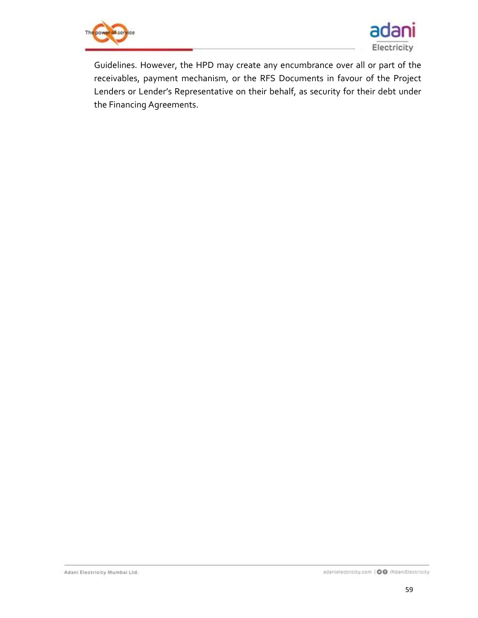



Guidelines. However, the HPD may create any encumbrance over all or part of the receivables, payment mechanism, or the RFS Documents in favour of the Project Lenders or Lender's Representative on their behalf, as security for their debt under the Financing Agreements.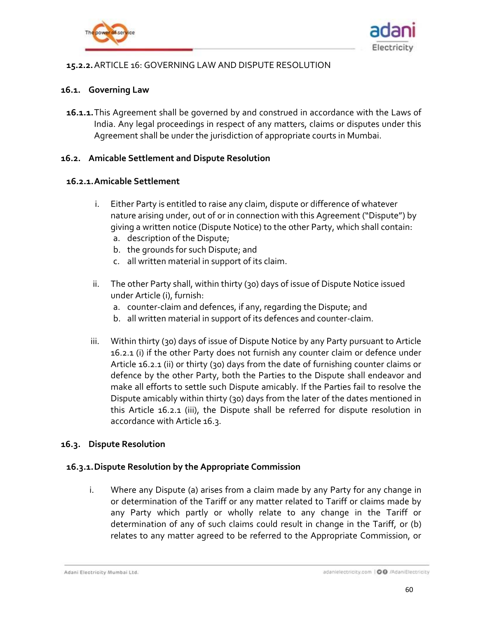



### <span id="page-59-0"></span>**15.2.2.**ARTICLE 16: GOVERNING LAW AND DISPUTE RESOLUTION

### **16.1. Governing Law**

**16.1.1.**This Agreement shall be governed by and construed in accordance with the Laws of India. Any legal proceedings in respect of any matters, claims or disputes under this Agreement shall be under the jurisdiction of appropriate courts in Mumbai.

### **16.2. Amicable Settlement and Dispute Resolution**

#### <span id="page-59-1"></span>**16.2.1.Amicable Settlement**

- i. Either Party is entitled to raise any claim, dispute or difference of whatever nature arising under, out of or in connection with this Agreement ("Dispute") by giving a written notice (Dispute Notice) to the other Party, which shall contain:
	- a. description of the Dispute;
	- b. the grounds for such Dispute; and
	- c. all written material in support of its claim.
- ii. The other Party shall, within thirty (30) days of issue of Dispute Notice issued under Article (i), furnish:
	- a. counter-claim and defences, if any, regarding the Dispute; and
	- b. all written material in support of its defences and counter-claim.
- iii. Within thirty (30) days of issue of Dispute Notice by any Party pursuant to Article [16.2.1](#page-59-1) (i) if the other Party does not furnish any counter claim or defence under Article [16.2.1](#page-59-1) (ii) or thirty (30) days from the date of furnishing counter claims or defence by the other Party, both the Parties to the Dispute shall endeavor and make all efforts to settle such Dispute amicably. If the Parties fail to resolve the Dispute amicably within thirty (30) days from the later of the dates mentioned in this Article [16.2.1](#page-59-1) (iii), the Dispute shall be referred for dispute resolution in accordance with Article [16.3.](#page-59-2)

#### <span id="page-59-2"></span>**16.3. Dispute Resolution**

### <span id="page-59-3"></span>**16.3.1.Dispute Resolution by the Appropriate Commission**

i. Where any Dispute (a) arises from a claim made by any Party for any change in or determination of the Tariff or any matter related to Tariff or claims made by any Party which partly or wholly relate to any change in the Tariff or determination of any of such claims could result in change in the Tariff, or (b) relates to any matter agreed to be referred to the Appropriate Commission, or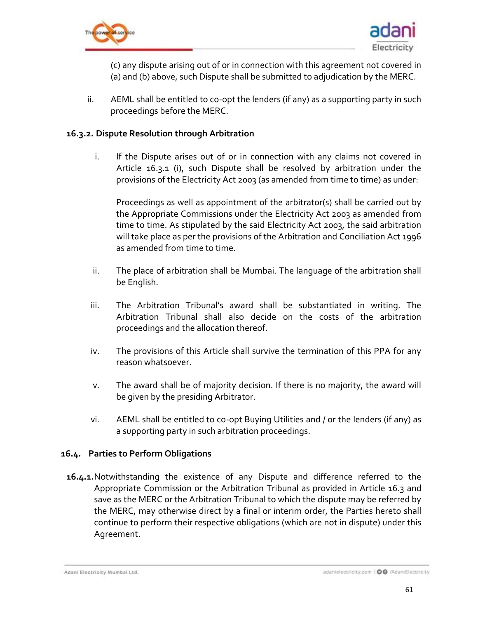



(c) any dispute arising out of or in connection with this agreement not covered in (a) and (b) above, such Dispute shall be submitted to adjudication by the MERC.

ii. AEML shall be entitled to co-opt the lenders (if any) as a supporting party in such proceedings before the MERC.

### **16.3.2. Dispute Resolution through Arbitration**

<span id="page-60-0"></span>i. If the Dispute arises out of or in connection with any claims not covered in Article [16.3.1](#page-59-3) (i), such Dispute shall be resolved by arbitration under the provisions of the Electricity Act 2003 (as amended from time to time) as under:

Proceedings as well as appointment of the arbitrator(s) shall be carried out by the Appropriate Commissions under the Electricity Act 2003 as amended from time to time. As stipulated by the said Electricity Act 2003, the said arbitration will take place as per the provisions of the Arbitration and Conciliation Act 1996 as amended from time to time.

- ii. The place of arbitration shall be Mumbai. The language of the arbitration shall be English.
- iii. The Arbitration Tribunal's award shall be substantiated in writing. The Arbitration Tribunal shall also decide on the costs of the arbitration proceedings and the allocation thereof.
- iv. The provisions of this Article shall survive the termination of this PPA for any reason whatsoever.
- v. The award shall be of majority decision. If there is no majority, the award will be given by the presiding Arbitrator.
- vi. AEML shall be entitled to co-opt Buying Utilities and / or the lenders (if any) as a supporting party in such arbitration proceedings.

### **16.4. Parties to Perform Obligations**

**16.4.1.**Notwithstanding the existence of any Dispute and difference referred to the Appropriate Commission or the Arbitration Tribunal as provided in Article [16.3](#page-59-2) and save as the MERC or the Arbitration Tribunal to which the dispute may be referred by the MERC, may otherwise direct by a final or interim order, the Parties hereto shall continue to perform their respective obligations (which are not in dispute) under this Agreement.

Adani Electricity Mumbai Ltd.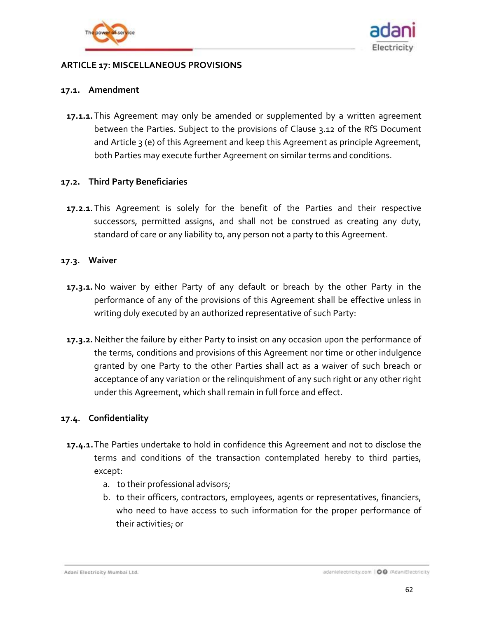



### <span id="page-61-0"></span>**ARTICLE 17: MISCELLANEOUS PROVISIONS**

#### **17.1. Amendment**

**17.1.1.**This Agreement may only be amended or supplemented by a written agreement between the Parties. Subject to the provisions of Clause 3.12 of the RfS Document and Article [3](#page-16-1) (e) of this Agreement and keep this Agreement as principle Agreement, both Parties may execute further Agreement on similar terms and conditions.

#### **17.2. Third Party Beneficiaries**

**17.2.1.**This Agreement is solely for the benefit of the Parties and their respective successors, permitted assigns, and shall not be construed as creating any duty, standard of care or any liability to, any person not a party to this Agreement.

#### **17.3. Waiver**

- **17.3.1.**No waiver by either Party of any default or breach by the other Party in the performance of any of the provisions of this Agreement shall be effective unless in writing duly executed by an authorized representative of such Party:
- **17.3.2.**Neither the failure by either Party to insist on any occasion upon the performance of the terms, conditions and provisions of this Agreement nor time or other indulgence granted by one Party to the other Parties shall act as a waiver of such breach or acceptance of any variation or the relinquishment of any such right or any other right under this Agreement, which shall remain in full force and effect.

### **17.4. Confidentiality**

- **17.4.1.**The Parties undertake to hold in confidence this Agreement and not to disclose the terms and conditions of the transaction contemplated hereby to third parties, except:
	- a. to their professional advisors;
	- b. to their officers, contractors, employees, agents or representatives, financiers, who need to have access to such information for the proper performance of their activities; or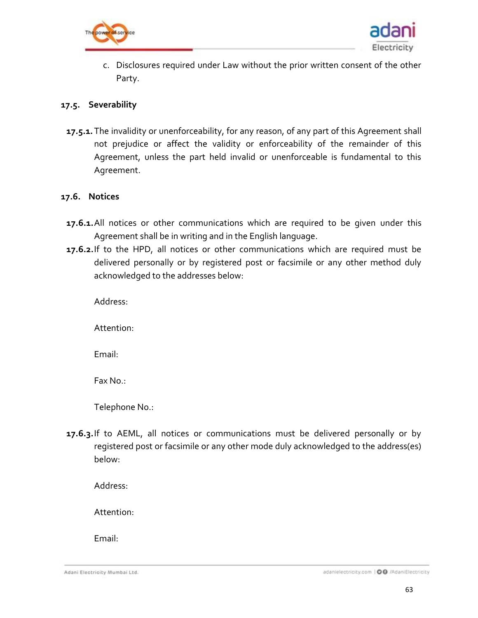



c. Disclosures required under Law without the prior written consent of the other Party.

#### **17.5. Severability**

**17.5.1.**The invalidity or unenforceability, for any reason, of any part of this Agreement shall not prejudice or affect the validity or enforceability of the remainder of this Agreement, unless the part held invalid or unenforceable is fundamental to this Agreement.

#### **17.6. Notices**

- **17.6.1.**All notices or other communications which are required to be given under this Agreement shall be in writing and in the English language.
- **17.6.2.**If to the HPD, all notices or other communications which are required must be delivered personally or by registered post or facsimile or any other method duly acknowledged to the addresses below:

Address:

Attention:

Email:

Fax No.:

Telephone No.:

**17.6.3.**If to AEML, all notices or communications must be delivered personally or by registered post or facsimile or any other mode duly acknowledged to the address(es) below:

Address:

Attention:

Email:

Adani Electricity Mumbai Ltd.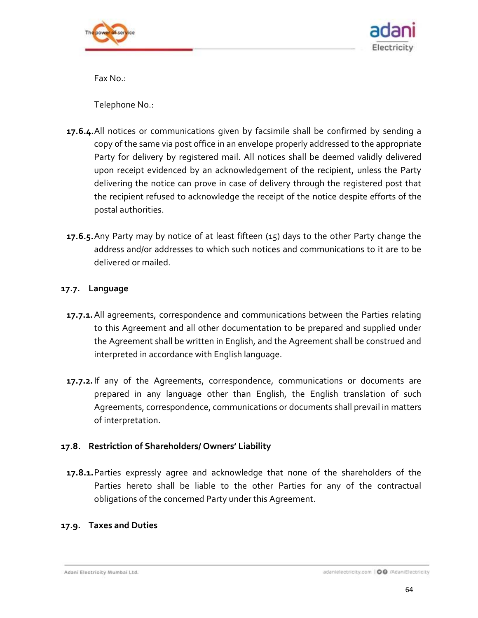



Fax No.:

Telephone No.:

- **17.6.4.**All notices or communications given by facsimile shall be confirmed by sending a copy of the same via post office in an envelope properly addressed to the appropriate Party for delivery by registered mail. All notices shall be deemed validly delivered upon receipt evidenced by an acknowledgement of the recipient, unless the Party delivering the notice can prove in case of delivery through the registered post that the recipient refused to acknowledge the receipt of the notice despite efforts of the postal authorities.
- **17.6.5.**Any Party may by notice of at least fifteen (15) days to the other Party change the address and/or addresses to which such notices and communications to it are to be delivered or mailed.

### **17.7. Language**

- **17.7.1.**All agreements, correspondence and communications between the Parties relating to this Agreement and all other documentation to be prepared and supplied under the Agreement shall be written in English, and the Agreement shall be construed and interpreted in accordance with English language.
- **17.7.2.**If any of the Agreements, correspondence, communications or documents are prepared in any language other than English, the English translation of such Agreements, correspondence, communications or documents shall prevail in matters of interpretation.

### **17.8. Restriction of Shareholders/ Owners' Liability**

**17.8.1.**Parties expressly agree and acknowledge that none of the shareholders of the Parties hereto shall be liable to the other Parties for any of the contractual obligations of the concerned Party under this Agreement.

### **17.9. Taxes and Duties**

Adani Electricity Mumbai Ltd.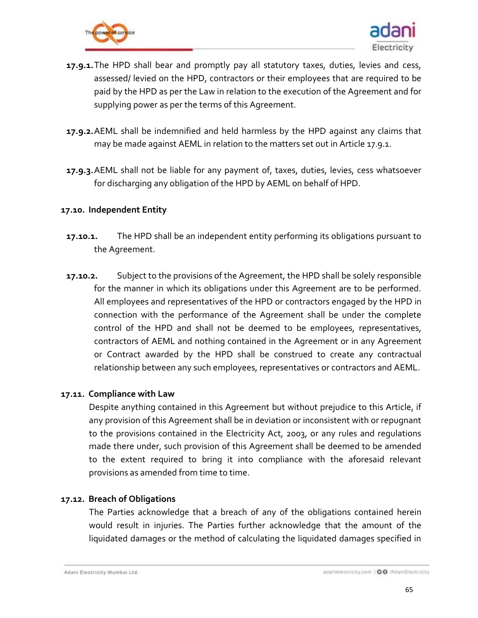



- <span id="page-64-0"></span>**17.9.1.**The HPD shall bear and promptly pay all statutory taxes, duties, levies and cess, assessed/ levied on the HPD, contractors or their employees that are required to be paid by the HPD as per the Law in relation to the execution of the Agreement and for supplying power as per the terms of this Agreement.
- **17.9.2.**AEML shall be indemnified and held harmless by the HPD against any claims that may be made against AEML in relation to the matters set out in Article [17.9.1.](#page-64-0)
- **17.9.3.**AEML shall not be liable for any payment of, taxes, duties, levies, cess whatsoever for discharging any obligation of the HPD by AEML on behalf of HPD.

### **17.10. Independent Entity**

- **17.10.1.** The HPD shall be an independent entity performing its obligations pursuant to the Agreement.
- **17.10.2.** Subject to the provisions of the Agreement, the HPD shall be solely responsible for the manner in which its obligations under this Agreement are to be performed. All employees and representatives of the HPD or contractors engaged by the HPD in connection with the performance of the Agreement shall be under the complete control of the HPD and shall not be deemed to be employees, representatives, contractors of AEML and nothing contained in the Agreement or in any Agreement or Contract awarded by the HPD shall be construed to create any contractual relationship between any such employees, representatives or contractors and AEML.

#### **17.11. Compliance with Law**

Despite anything contained in this Agreement but without prejudice to this Article, if any provision of this Agreement shall be in deviation or inconsistent with or repugnant to the provisions contained in the Electricity Act, 2003, or any rules and regulations made there under, such provision of this Agreement shall be deemed to be amended to the extent required to bring it into compliance with the aforesaid relevant provisions as amended from time to time.

### **17.12. Breach of Obligations**

The Parties acknowledge that a breach of any of the obligations contained herein would result in injuries. The Parties further acknowledge that the amount of the liquidated damages or the method of calculating the liquidated damages specified in